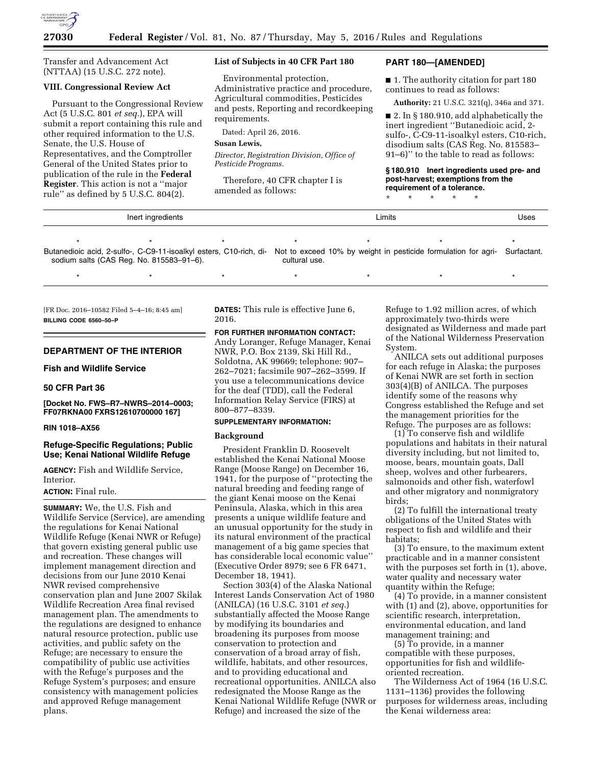

Transfer and Advancement Act (NTTAA) (15 U.S.C. 272 note).

#### **VIII. Congressional Review Act**

Pursuant to the Congressional Review Act (5 U.S.C. 801 *et seq.*), EPA will submit a report containing this rule and other required information to the U.S. Senate, the U.S. House of Representatives, and the Comptroller General of the United States prior to publication of the rule in the **Federal Register**. This action is not a ''major rule'' as defined by 5 U.S.C. 804(2).

# **List of Subjects in 40 CFR Part 180**

Environmental protection, Administrative practice and procedure, Agricultural commodities, Pesticides and pests, Reporting and recordkeeping requirements.

Dated: April 26, 2016.

#### **Susan Lewis,**

*Director, Registration Division, Office of Pesticide Programs.* 

Therefore, 40 CFR chapter I is amended as follows:

### **PART 180—[AMENDED]**

■ 1. The authority citation for part 180 continues to read as follows:

**Authority:** 21 U.S.C. 321(q), 346a and 371.

■ 2. In § 180.910, add alphabetically the inert ingredient ''Butanedioic acid, 2 sulfo-, C-C9-11-isoalkyl esters, C10-rich, disodium salts (CAS Reg. No. 815583– 91–6)'' to the table to read as follows:

**§ 180.910 Inert ingredients used pre- and post-harvest; exemptions from the requirement of a tolerance.** 

\* \* \* \* \*

| Inert ingredients |  |  |  | Limits | Uses |  |
|-------------------|--|--|--|--------|------|--|
|                   |  |  |  |        |      |  |

Butanedioic acid, 2-sulfo-, C-C9-11-isoalkyl esters, C10-rich, di-Not to exceed 10% by weight in pesticide formulation for agri-Surfactant. sodium salts (CAS Reg. No. 815583–91–6). cultural use.

\* \* \* \* \* \* \* \* \* \* \* \* \* \* \*

[FR Doc. 2016–10582 Filed 5–4–16; 8:45 am] **BILLING CODE 6560–50–P** 

# **DEPARTMENT OF THE INTERIOR**

**Fish and Wildlife Service** 

# **50 CFR Part 36**

### **[Docket No. FWS–R7–NWRS–2014–0003; FF07RKNA00 FXRS12610700000 167]**

#### **RIN 1018–AX56**

# **Refuge-Specific Regulations; Public Use; Kenai National Wildlife Refuge**

**AGENCY:** Fish and Wildlife Service, Interior.

#### **ACTION:** Final rule.

**SUMMARY:** We, the U.S. Fish and Wildlife Service (Service), are amending the regulations for Kenai National Wildlife Refuge (Kenai NWR or Refuge) that govern existing general public use and recreation. These changes will implement management direction and decisions from our June 2010 Kenai NWR revised comprehensive conservation plan and June 2007 Skilak Wildlife Recreation Area final revised management plan. The amendments to the regulations are designed to enhance natural resource protection, public use activities, and public safety on the Refuge; are necessary to ensure the compatibility of public use activities with the Refuge's purposes and the Refuge System's purposes; and ensure consistency with management policies and approved Refuge management plans.

**DATES:** This rule is effective June 6, 2016.

**FOR FURTHER INFORMATION CONTACT:**  Andy Loranger, Refuge Manager, Kenai NWR, P.O. Box 2139, Ski Hill Rd., Soldotna, AK 99669; telephone: 907– 262–7021; facsimile 907–262–3599. If you use a telecommunications device for the deaf (TDD), call the Federal Information Relay Service (FIRS) at 800–877–8339.

#### **SUPPLEMENTARY INFORMATION:**

#### **Background**

President Franklin D. Roosevelt established the Kenai National Moose Range (Moose Range) on December 16, 1941, for the purpose of ''protecting the natural breeding and feeding range of the giant Kenai moose on the Kenai Peninsula, Alaska, which in this area presents a unique wildlife feature and an unusual opportunity for the study in its natural environment of the practical management of a big game species that has considerable local economic value'' (Executive Order 8979; see 6 FR 6471, December 18, 1941).

Section 303(4) of the Alaska National Interest Lands Conservation Act of 1980 (ANILCA) (16 U.S.C. 3101 *et seq.*) substantially affected the Moose Range by modifying its boundaries and broadening its purposes from moose conservation to protection and conservation of a broad array of fish, wildlife, habitats, and other resources, and to providing educational and recreational opportunities. ANILCA also redesignated the Moose Range as the Kenai National Wildlife Refuge (NWR or Refuge) and increased the size of the

Refuge to 1.92 million acres, of which approximately two-thirds were designated as Wilderness and made part of the National Wilderness Preservation System.

ANILCA sets out additional purposes for each refuge in Alaska; the purposes of Kenai NWR are set forth in section 303(4)(B) of ANILCA. The purposes identify some of the reasons why Congress established the Refuge and set the management priorities for the Refuge. The purposes are as follows:

(1) To conserve fish and wildlife populations and habitats in their natural diversity including, but not limited to, moose, bears, mountain goats, Dall sheep, wolves and other furbearers, salmonoids and other fish, waterfowl and other migratory and nonmigratory birds;

(2) To fulfill the international treaty obligations of the United States with respect to fish and wildlife and their habitats;

(3) To ensure, to the maximum extent practicable and in a manner consistent with the purposes set forth in (1), above, water quality and necessary water quantity within the Refuge;

(4) To provide, in a manner consistent with (1) and (2), above, opportunities for scientific research, interpretation, environmental education, and land management training; and

(5) To provide, in a manner compatible with these purposes, opportunities for fish and wildlifeoriented recreation.

The Wilderness Act of 1964 (16 U.S.C. 1131–1136) provides the following purposes for wilderness areas, including the Kenai wilderness area: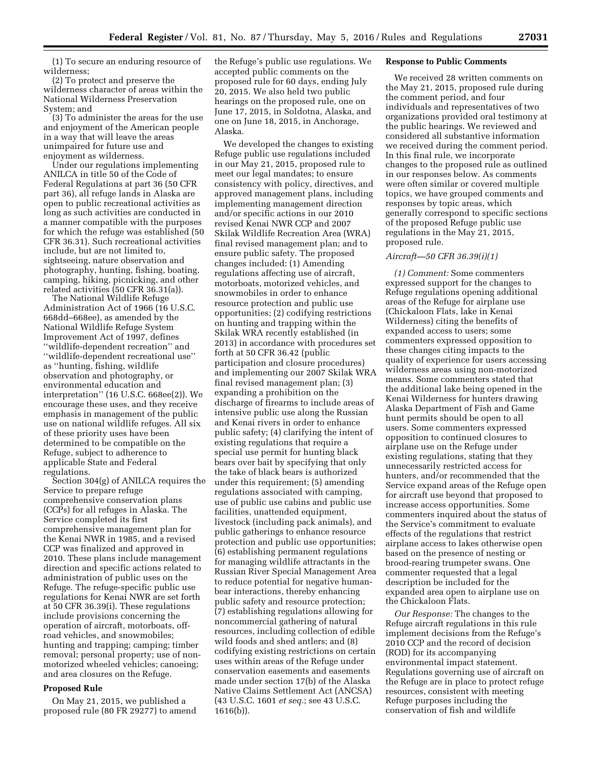(1) To secure an enduring resource of wilderness;

(2) To protect and preserve the wilderness character of areas within the National Wilderness Preservation System; and

(3) To administer the areas for the use and enjoyment of the American people in a way that will leave the areas unimpaired for future use and enjoyment as wilderness.

Under our regulations implementing ANILCA in title 50 of the Code of Federal Regulations at part 36 (50 CFR part 36), all refuge lands in Alaska are open to public recreational activities as long as such activities are conducted in a manner compatible with the purposes for which the refuge was established (50 CFR 36.31). Such recreational activities include, but are not limited to, sightseeing, nature observation and photography, hunting, fishing, boating, camping, hiking, picnicking, and other related activities (50 CFR 36.31(a)).

The National Wildlife Refuge Administration Act of 1966 (16 U.S.C. 668dd–668ee), as amended by the National Wildlife Refuge System Improvement Act of 1997, defines ''wildlife-dependent recreation'' and ''wildlife-dependent recreational use'' as ''hunting, fishing, wildlife observation and photography, or environmental education and interpretation'' (16 U.S.C. 668ee(2)). We encourage these uses, and they receive emphasis in management of the public use on national wildlife refuges. All six of these priority uses have been determined to be compatible on the Refuge, subject to adherence to applicable State and Federal regulations.

Section 304(g) of ANILCA requires the Service to prepare refuge comprehensive conservation plans (CCPs) for all refuges in Alaska. The Service completed its first comprehensive management plan for the Kenai NWR in 1985, and a revised CCP was finalized and approved in 2010. These plans include management direction and specific actions related to administration of public uses on the Refuge. The refuge-specific public use regulations for Kenai NWR are set forth at 50 CFR 36.39(i). These regulations include provisions concerning the operation of aircraft, motorboats, offroad vehicles, and snowmobiles; hunting and trapping; camping; timber removal; personal property; use of nonmotorized wheeled vehicles; canoeing; and area closures on the Refuge.

# **Proposed Rule**

On May 21, 2015, we published a proposed rule (80 FR 29277) to amend the Refuge's public use regulations. We accepted public comments on the proposed rule for 60 days, ending July 20, 2015. We also held two public hearings on the proposed rule, one on June 17, 2015, in Soldotna, Alaska, and one on June 18, 2015, in Anchorage, Alaska.

We developed the changes to existing Refuge public use regulations included in our May 21, 2015, proposed rule to meet our legal mandates; to ensure consistency with policy, directives, and approved management plans, including implementing management direction and/or specific actions in our 2010 revised Kenai NWR CCP and 2007 Skilak Wildlife Recreation Area (WRA) final revised management plan; and to ensure public safety. The proposed changes included: (1) Amending regulations affecting use of aircraft, motorboats, motorized vehicles, and snowmobiles in order to enhance resource protection and public use opportunities; (2) codifying restrictions on hunting and trapping within the Skilak WRA recently established (in 2013) in accordance with procedures set forth at 50 CFR 36.42 (public participation and closure procedures) and implementing our 2007 Skilak WRA final revised management plan; (3) expanding a prohibition on the discharge of firearms to include areas of intensive public use along the Russian and Kenai rivers in order to enhance public safety; (4) clarifying the intent of existing regulations that require a special use permit for hunting black bears over bait by specifying that only the take of black bears is authorized under this requirement; (5) amending regulations associated with camping, use of public use cabins and public use facilities, unattended equipment, livestock (including pack animals), and public gatherings to enhance resource protection and public use opportunities; (6) establishing permanent regulations for managing wildlife attractants in the Russian River Special Management Area to reduce potential for negative humanbear interactions, thereby enhancing public safety and resource protection; (7) establishing regulations allowing for noncommercial gathering of natural resources, including collection of edible wild foods and shed antlers; and (8) codifying existing restrictions on certain uses within areas of the Refuge under conservation easements and easements made under section 17(b) of the Alaska Native Claims Settlement Act (ANCSA) (43 U.S.C. 1601 *et seq.*; see 43 U.S.C. 1616(b)).

#### **Response to Public Comments**

We received 28 written comments on the May 21, 2015, proposed rule during the comment period, and four individuals and representatives of two organizations provided oral testimony at the public hearings. We reviewed and considered all substantive information we received during the comment period. In this final rule, we incorporate changes to the proposed rule as outlined in our responses below. As comments were often similar or covered multiple topics, we have grouped comments and responses by topic areas, which generally correspond to specific sections of the proposed Refuge public use regulations in the May 21, 2015, proposed rule.

#### *Aircraft—50 CFR 36.39(i)(1)*

*(1) Comment:* Some commenters expressed support for the changes to Refuge regulations opening additional areas of the Refuge for airplane use (Chickaloon Flats, lake in Kenai Wilderness) citing the benefits of expanded access to users; some commenters expressed opposition to these changes citing impacts to the quality of experience for users accessing wilderness areas using non-motorized means. Some commenters stated that the additional lake being opened in the Kenai Wilderness for hunters drawing Alaska Department of Fish and Game hunt permits should be open to all users. Some commenters expressed opposition to continued closures to airplane use on the Refuge under existing regulations, stating that they unnecessarily restricted access for hunters, and/or recommended that the Service expand areas of the Refuge open for aircraft use beyond that proposed to increase access opportunities. Some commenters inquired about the status of the Service's commitment to evaluate effects of the regulations that restrict airplane access to lakes otherwise open based on the presence of nesting or brood-rearing trumpeter swans. One commenter requested that a legal description be included for the expanded area open to airplane use on the Chickaloon Flats.

*Our Response:* The changes to the Refuge aircraft regulations in this rule implement decisions from the Refuge's 2010 CCP and the record of decision (ROD) for its accompanying environmental impact statement. Regulations governing use of aircraft on the Refuge are in place to protect refuge resources, consistent with meeting Refuge purposes including the conservation of fish and wildlife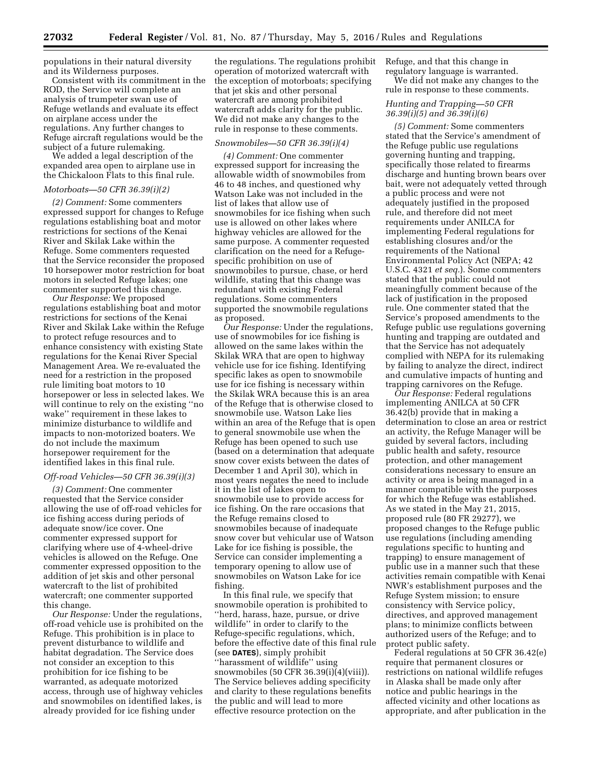populations in their natural diversity and its Wilderness purposes.

Consistent with its commitment in the ROD, the Service will complete an analysis of trumpeter swan use of Refuge wetlands and evaluate its effect on airplane access under the regulations. Any further changes to Refuge aircraft regulations would be the subject of a future rulemaking.

We added a legal description of the expanded area open to airplane use in the Chickaloon Flats to this final rule.

# *Motorboats—50 CFR 36.39(i)(2)*

*(2) Comment:* Some commenters expressed support for changes to Refuge regulations establishing boat and motor restrictions for sections of the Kenai River and Skilak Lake within the Refuge. Some commenters requested that the Service reconsider the proposed 10 horsepower motor restriction for boat motors in selected Refuge lakes; one commenter supported this change.

*Our Response:* We proposed regulations establishing boat and motor restrictions for sections of the Kenai River and Skilak Lake within the Refuge to protect refuge resources and to enhance consistency with existing State regulations for the Kenai River Special Management Area. We re-evaluated the need for a restriction in the proposed rule limiting boat motors to 10 horsepower or less in selected lakes. We will continue to rely on the existing ''no wake'' requirement in these lakes to minimize disturbance to wildlife and impacts to non-motorized boaters. We do not include the maximum horsepower requirement for the identified lakes in this final rule.

### *Off-road Vehicles—50 CFR 36.39(i)(3)*

*(3) Comment:* One commenter requested that the Service consider allowing the use of off-road vehicles for ice fishing access during periods of adequate snow/ice cover. One commenter expressed support for clarifying where use of 4-wheel-drive vehicles is allowed on the Refuge. One commenter expressed opposition to the addition of jet skis and other personal watercraft to the list of prohibited watercraft; one commenter supported this change.

*Our Response:* Under the regulations, off-road vehicle use is prohibited on the Refuge. This prohibition is in place to prevent disturbance to wildlife and habitat degradation. The Service does not consider an exception to this prohibition for ice fishing to be warranted, as adequate motorized access, through use of highway vehicles and snowmobiles on identified lakes, is already provided for ice fishing under

the regulations. The regulations prohibit operation of motorized watercraft with the exception of motorboats; specifying that jet skis and other personal watercraft are among prohibited watercraft adds clarity for the public. We did not make any changes to the rule in response to these comments.

# *Snowmobiles—50 CFR 36.39(i)(4)*

*(4) Comment:* One commenter expressed support for increasing the allowable width of snowmobiles from 46 to 48 inches, and questioned why Watson Lake was not included in the list of lakes that allow use of snowmobiles for ice fishing when such use is allowed on other lakes where highway vehicles are allowed for the same purpose. A commenter requested clarification on the need for a Refugespecific prohibition on use of snowmobiles to pursue, chase, or herd wildlife, stating that this change was redundant with existing Federal regulations. Some commenters supported the snowmobile regulations as proposed.

*Our Response:* Under the regulations, use of snowmobiles for ice fishing is allowed on the same lakes within the Skilak WRA that are open to highway vehicle use for ice fishing. Identifying specific lakes as open to snowmobile use for ice fishing is necessary within the Skilak WRA because this is an area of the Refuge that is otherwise closed to snowmobile use. Watson Lake lies within an area of the Refuge that is open to general snowmobile use when the Refuge has been opened to such use (based on a determination that adequate snow cover exists between the dates of December 1 and April 30), which in most years negates the need to include it in the list of lakes open to snowmobile use to provide access for ice fishing. On the rare occasions that the Refuge remains closed to snowmobiles because of inadequate snow cover but vehicular use of Watson Lake for ice fishing is possible, the Service can consider implementing a temporary opening to allow use of snowmobiles on Watson Lake for ice fishing.

In this final rule, we specify that snowmobile operation is prohibited to ''herd, harass, haze, pursue, or drive wildlife'' in order to clarify to the Refuge-specific regulations, which, before the effective date of this final rule (see **DATES**), simply prohibit ''harassment of wildlife'' using snowmobiles (50 CFR 36.39(i)(4)(viii)). The Service believes adding specificity and clarity to these regulations benefits the public and will lead to more effective resource protection on the

Refuge, and that this change in regulatory language is warranted. We did not make any changes to the

rule in response to these comments.

# *Hunting and Trapping—50 CFR 36.39(i)(5) and 36.39(i)(6)*

*(5) Comment:* Some commenters stated that the Service's amendment of the Refuge public use regulations governing hunting and trapping, specifically those related to firearms discharge and hunting brown bears over bait, were not adequately vetted through a public process and were not adequately justified in the proposed rule, and therefore did not meet requirements under ANILCA for implementing Federal regulations for establishing closures and/or the requirements of the National Environmental Policy Act (NEPA; 42 U.S.C. 4321 *et seq.*). Some commenters stated that the public could not meaningfully comment because of the lack of justification in the proposed rule. One commenter stated that the Service's proposed amendments to the Refuge public use regulations governing hunting and trapping are outdated and that the Service has not adequately complied with NEPA for its rulemaking by failing to analyze the direct, indirect and cumulative impacts of hunting and trapping carnivores on the Refuge.

*Our Response:* Federal regulations implementing ANILCA at 50 CFR 36.42(b) provide that in making a determination to close an area or restrict an activity, the Refuge Manager will be guided by several factors, including public health and safety, resource protection, and other management considerations necessary to ensure an activity or area is being managed in a manner compatible with the purposes for which the Refuge was established. As we stated in the May 21, 2015, proposed rule (80 FR 29277), we proposed changes to the Refuge public use regulations (including amending regulations specific to hunting and trapping) to ensure management of public use in a manner such that these activities remain compatible with Kenai NWR's establishment purposes and the Refuge System mission; to ensure consistency with Service policy, directives, and approved management plans; to minimize conflicts between authorized users of the Refuge; and to protect public safety.

Federal regulations at 50 CFR 36.42(e) require that permanent closures or restrictions on national wildlife refuges in Alaska shall be made only after notice and public hearings in the affected vicinity and other locations as appropriate, and after publication in the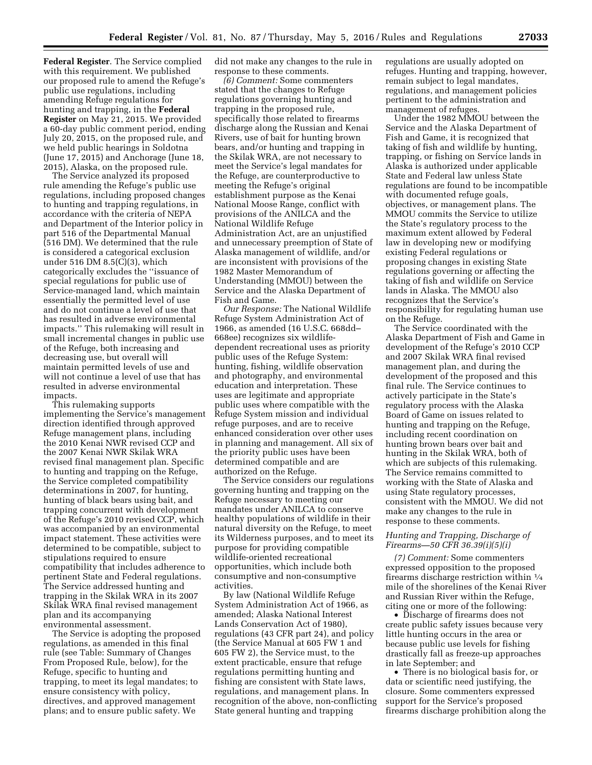**Federal Register**. The Service complied with this requirement. We published our proposed rule to amend the Refuge's public use regulations, including amending Refuge regulations for hunting and trapping, in the **Federal Register** on May 21, 2015. We provided a 60-day public comment period, ending July 20, 2015, on the proposed rule, and we held public hearings in Soldotna (June 17, 2015) and Anchorage (June 18, 2015), Alaska, on the proposed rule.

The Service analyzed its proposed rule amending the Refuge's public use regulations, including proposed changes to hunting and trapping regulations, in accordance with the criteria of NEPA and Department of the Interior policy in part 516 of the Departmental Manual (516 DM). We determined that the rule is considered a categorical exclusion under 516 DM 8.5(C)(3), which categorically excludes the ''issuance of special regulations for public use of Service-managed land, which maintain essentially the permitted level of use and do not continue a level of use that has resulted in adverse environmental impacts.'' This rulemaking will result in small incremental changes in public use of the Refuge, both increasing and decreasing use, but overall will maintain permitted levels of use and will not continue a level of use that has resulted in adverse environmental impacts.

This rulemaking supports implementing the Service's management direction identified through approved Refuge management plans, including the 2010 Kenai NWR revised CCP and the 2007 Kenai NWR Skilak WRA revised final management plan. Specific to hunting and trapping on the Refuge, the Service completed compatibility determinations in 2007, for hunting, hunting of black bears using bait, and trapping concurrent with development of the Refuge's 2010 revised CCP, which was accompanied by an environmental impact statement. These activities were determined to be compatible, subject to stipulations required to ensure compatibility that includes adherence to pertinent State and Federal regulations. The Service addressed hunting and trapping in the Skilak WRA in its 2007 Skilak WRA final revised management plan and its accompanying environmental assessment.

The Service is adopting the proposed regulations, as amended in this final rule (see Table: Summary of Changes From Proposed Rule, below), for the Refuge, specific to hunting and trapping, to meet its legal mandates; to ensure consistency with policy, directives, and approved management plans; and to ensure public safety. We

did not make any changes to the rule in response to these comments.

*(6) Comment:* Some commenters stated that the changes to Refuge regulations governing hunting and trapping in the proposed rule, specifically those related to firearms discharge along the Russian and Kenai Rivers, use of bait for hunting brown bears, and/or hunting and trapping in the Skilak WRA, are not necessary to meet the Service's legal mandates for the Refuge, are counterproductive to meeting the Refuge's original establishment purpose as the Kenai National Moose Range, conflict with provisions of the ANILCA and the National Wildlife Refuge Administration Act, are an unjustified and unnecessary preemption of State of Alaska management of wildlife, and/or are inconsistent with provisions of the 1982 Master Memorandum of Understanding (MMOU) between the Service and the Alaska Department of Fish and Game.

*Our Response:* The National Wildlife Refuge System Administration Act of 1966, as amended (16 U.S.C. 668dd– 668ee) recognizes six wildlifedependent recreational uses as priority public uses of the Refuge System: hunting, fishing, wildlife observation and photography, and environmental education and interpretation. These uses are legitimate and appropriate public uses where compatible with the Refuge System mission and individual refuge purposes, and are to receive enhanced consideration over other uses in planning and management. All six of the priority public uses have been determined compatible and are authorized on the Refuge.

The Service considers our regulations governing hunting and trapping on the Refuge necessary to meeting our mandates under ANILCA to conserve healthy populations of wildlife in their natural diversity on the Refuge, to meet its Wilderness purposes, and to meet its purpose for providing compatible wildlife-oriented recreational opportunities, which include both consumptive and non-consumptive activities.

By law (National Wildlife Refuge System Administration Act of 1966, as amended; Alaska National Interest Lands Conservation Act of 1980), regulations (43 CFR part 24), and policy (the Service Manual at 605 FW 1 and 605 FW 2), the Service must, to the extent practicable, ensure that refuge regulations permitting hunting and fishing are consistent with State laws, regulations, and management plans. In recognition of the above, non-conflicting State general hunting and trapping

regulations are usually adopted on refuges. Hunting and trapping, however, remain subject to legal mandates, regulations, and management policies pertinent to the administration and management of refuges.

Under the 1982 MMOU between the Service and the Alaska Department of Fish and Game, it is recognized that taking of fish and wildlife by hunting, trapping, or fishing on Service lands in Alaska is authorized under applicable State and Federal law unless State regulations are found to be incompatible with documented refuge goals, objectives, or management plans. The MMOU commits the Service to utilize the State's regulatory process to the maximum extent allowed by Federal law in developing new or modifying existing Federal regulations or proposing changes in existing State regulations governing or affecting the taking of fish and wildlife on Service lands in Alaska. The MMOU also recognizes that the Service's responsibility for regulating human use on the Refuge.

The Service coordinated with the Alaska Department of Fish and Game in development of the Refuge's 2010 CCP and 2007 Skilak WRA final revised management plan, and during the development of the proposed and this final rule. The Service continues to actively participate in the State's regulatory process with the Alaska Board of Game on issues related to hunting and trapping on the Refuge, including recent coordination on hunting brown bears over bait and hunting in the Skilak WRA, both of which are subjects of this rulemaking. The Service remains committed to working with the State of Alaska and using State regulatory processes, consistent with the MMOU. We did not make any changes to the rule in response to these comments.

# *Hunting and Trapping, Discharge of Firearms—50 CFR 36.39(i)(5)(i)*

*(7) Comment:* Some commenters expressed opposition to the proposed firearms discharge restriction within 1⁄4 mile of the shorelines of the Kenai River and Russian River within the Refuge, citing one or more of the following:

• Discharge of firearms does not create public safety issues because very little hunting occurs in the area or because public use levels for fishing drastically fall as freeze-up approaches in late September; and

• There is no biological basis for, or data or scientific need justifying, the closure. Some commenters expressed support for the Service's proposed firearms discharge prohibition along the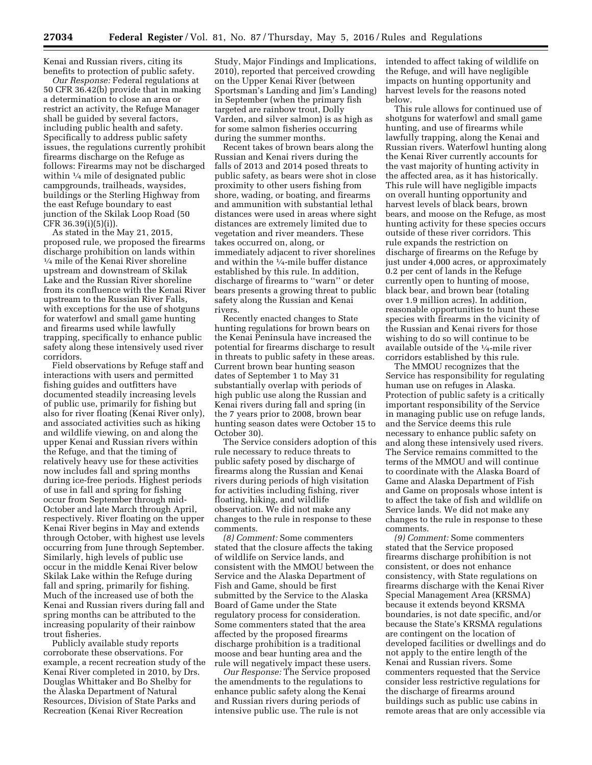Kenai and Russian rivers, citing its benefits to protection of public safety.

*Our Response:* Federal regulations at 50 CFR 36.42(b) provide that in making a determination to close an area or restrict an activity, the Refuge Manager shall be guided by several factors, including public health and safety. Specifically to address public safety issues, the regulations currently prohibit firearms discharge on the Refuge as follows: Firearms may not be discharged within  $\frac{1}{4}$  mile of designated public campgrounds, trailheads, waysides, buildings or the Sterling Highway from the east Refuge boundary to east junction of the Skilak Loop Road (50 CFR 36.39(i)(5)(i)).

As stated in the May 21, 2015, proposed rule, we proposed the firearms discharge prohibition on lands within 1⁄4 mile of the Kenai River shoreline upstream and downstream of Skilak Lake and the Russian River shoreline from its confluence with the Kenai River upstream to the Russian River Falls, with exceptions for the use of shotguns for waterfowl and small game hunting and firearms used while lawfully trapping, specifically to enhance public safety along these intensively used river corridors.

Field observations by Refuge staff and interactions with users and permitted fishing guides and outfitters have documented steadily increasing levels of public use, primarily for fishing but also for river floating (Kenai River only), and associated activities such as hiking and wildlife viewing, on and along the upper Kenai and Russian rivers within the Refuge, and that the timing of relatively heavy use for these activities now includes fall and spring months during ice-free periods. Highest periods of use in fall and spring for fishing occur from September through mid-October and late March through April, respectively. River floating on the upper Kenai River begins in May and extends through October, with highest use levels occurring from June through September. Similarly, high levels of public use occur in the middle Kenai River below Skilak Lake within the Refuge during fall and spring, primarily for fishing. Much of the increased use of both the Kenai and Russian rivers during fall and spring months can be attributed to the increasing popularity of their rainbow trout fisheries.

Publicly available study reports corroborate these observations. For example, a recent recreation study of the Kenai River completed in 2010, by Drs. Douglas Whittaker and Bo Shelby for the Alaska Department of Natural Resources, Division of State Parks and Recreation (Kenai River Recreation

Study, Major Findings and Implications, 2010), reported that perceived crowding on the Upper Kenai River (between Sportsman's Landing and Jim's Landing) in September (when the primary fish targeted are rainbow trout, Dolly Varden, and silver salmon) is as high as for some salmon fisheries occurring during the summer months.

Recent takes of brown bears along the Russian and Kenai rivers during the falls of 2013 and 2014 posed threats to public safety, as bears were shot in close proximity to other users fishing from shore, wading, or boating, and firearms and ammunition with substantial lethal distances were used in areas where sight distances are extremely limited due to vegetation and river meanders. These takes occurred on, along, or immediately adjacent to river shorelines and within the 1⁄4-mile buffer distance established by this rule. In addition, discharge of firearms to ''warn'' or deter bears presents a growing threat to public safety along the Russian and Kenai rivers.

Recently enacted changes to State hunting regulations for brown bears on the Kenai Peninsula have increased the potential for firearms discharge to result in threats to public safety in these areas. Current brown bear hunting season dates of September 1 to May 31 substantially overlap with periods of high public use along the Russian and Kenai rivers during fall and spring (in the 7 years prior to 2008, brown bear hunting season dates were October 15 to October 30).

The Service considers adoption of this rule necessary to reduce threats to public safety posed by discharge of firearms along the Russian and Kenai rivers during periods of high visitation for activities including fishing, river floating, hiking, and wildlife observation. We did not make any changes to the rule in response to these comments.

*(8) Comment:* Some commenters stated that the closure affects the taking of wildlife on Service lands, and consistent with the MMOU between the Service and the Alaska Department of Fish and Game, should be first submitted by the Service to the Alaska Board of Game under the State regulatory process for consideration. Some commenters stated that the area affected by the proposed firearms discharge prohibition is a traditional moose and bear hunting area and the rule will negatively impact these users.

*Our Response:* The Service proposed the amendments to the regulations to enhance public safety along the Kenai and Russian rivers during periods of intensive public use. The rule is not

intended to affect taking of wildlife on the Refuge, and will have negligible impacts on hunting opportunity and harvest levels for the reasons noted below.

This rule allows for continued use of shotguns for waterfowl and small game hunting, and use of firearms while lawfully trapping, along the Kenai and Russian rivers. Waterfowl hunting along the Kenai River currently accounts for the vast majority of hunting activity in the affected area, as it has historically. This rule will have negligible impacts on overall hunting opportunity and harvest levels of black bears, brown bears, and moose on the Refuge, as most hunting activity for these species occurs outside of these river corridors. This rule expands the restriction on discharge of firearms on the Refuge by just under 4,000 acres, or approximately 0.2 per cent of lands in the Refuge currently open to hunting of moose, black bear, and brown bear (totaling over 1.9 million acres). In addition, reasonable opportunities to hunt these species with firearms in the vicinity of the Russian and Kenai rivers for those wishing to do so will continue to be available outside of the 1⁄4-mile river corridors established by this rule.

The MMOU recognizes that the Service has responsibility for regulating human use on refuges in Alaska. Protection of public safety is a critically important responsibility of the Service in managing public use on refuge lands, and the Service deems this rule necessary to enhance public safety on and along these intensively used rivers. The Service remains committed to the terms of the MMOU and will continue to coordinate with the Alaska Board of Game and Alaska Department of Fish and Game on proposals whose intent is to affect the take of fish and wildlife on Service lands. We did not make any changes to the rule in response to these comments.

*(9) Comment:* Some commenters stated that the Service proposed firearms discharge prohibition is not consistent, or does not enhance consistency, with State regulations on firearms discharge with the Kenai River Special Management Area (KRSMA) because it extends beyond KRSMA boundaries, is not date specific, and/or because the State's KRSMA regulations are contingent on the location of developed facilities or dwellings and do not apply to the entire length of the Kenai and Russian rivers. Some commenters requested that the Service consider less restrictive regulations for the discharge of firearms around buildings such as public use cabins in remote areas that are only accessible via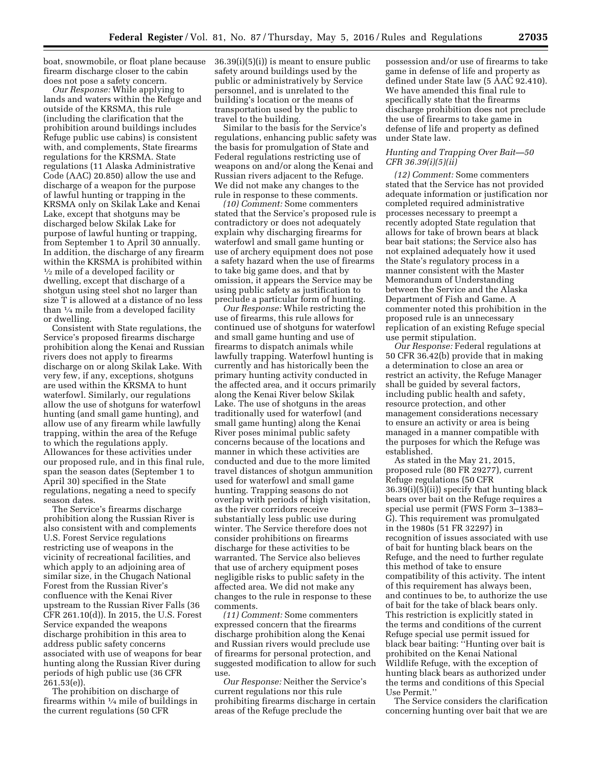boat, snowmobile, or float plane because firearm discharge closer to the cabin does not pose a safety concern.

*Our Response:* While applying to lands and waters within the Refuge and outside of the KRSMA, this rule (including the clarification that the prohibition around buildings includes Refuge public use cabins) is consistent with, and complements, State firearms regulations for the KRSMA. State regulations (11 Alaska Administrative Code (AAC) 20.850) allow the use and discharge of a weapon for the purpose of lawful hunting or trapping in the KRSMA only on Skilak Lake and Kenai Lake, except that shotguns may be discharged below Skilak Lake for purpose of lawful hunting or trapping, from September 1 to April 30 annually. In addition, the discharge of any firearm within the KRSMA is prohibited within  $\frac{1}{2}$  mile of a developed facility or dwelling, except that discharge of a shotgun using steel shot no larger than size T is allowed at a distance of no less than  $\frac{1}{4}$  mile from a developed facility or dwelling.

Consistent with State regulations, the Service's proposed firearms discharge prohibition along the Kenai and Russian rivers does not apply to firearms discharge on or along Skilak Lake. With very few, if any, exceptions, shotguns are used within the KRSMA to hunt waterfowl. Similarly, our regulations allow the use of shotguns for waterfowl hunting (and small game hunting), and allow use of any firearm while lawfully trapping, within the area of the Refuge to which the regulations apply. Allowances for these activities under our proposed rule, and in this final rule, span the season dates (September 1 to April 30) specified in the State regulations, negating a need to specify season dates.

The Service's firearms discharge prohibition along the Russian River is also consistent with and complements U.S. Forest Service regulations restricting use of weapons in the vicinity of recreational facilities, and which apply to an adjoining area of similar size, in the Chugach National Forest from the Russian River's confluence with the Kenai River upstream to the Russian River Falls (36 CFR 261.10(d)). In 2015, the U.S. Forest Service expanded the weapons discharge prohibition in this area to address public safety concerns associated with use of weapons for bear hunting along the Russian River during periods of high public use (36 CFR 261.53(e)).

The prohibition on discharge of firearms within  $\frac{1}{4}$  mile of buildings in the current regulations (50 CFR

36.39(i)(5)(i)) is meant to ensure public safety around buildings used by the public or administratively by Service personnel, and is unrelated to the building's location or the means of transportation used by the public to travel to the building.

Similar to the basis for the Service's regulations, enhancing public safety was the basis for promulgation of State and Federal regulations restricting use of weapons on and/or along the Kenai and Russian rivers adjacent to the Refuge. We did not make any changes to the rule in response to these comments.

*(10) Comment:* Some commenters stated that the Service's proposed rule is contradictory or does not adequately explain why discharging firearms for waterfowl and small game hunting or use of archery equipment does not pose a safety hazard when the use of firearms to take big game does, and that by omission, it appears the Service may be using public safety as justification to preclude a particular form of hunting.

*Our Response:* While restricting the use of firearms, this rule allows for continued use of shotguns for waterfowl and small game hunting and use of firearms to dispatch animals while lawfully trapping. Waterfowl hunting is currently and has historically been the primary hunting activity conducted in the affected area, and it occurs primarily along the Kenai River below Skilak Lake. The use of shotguns in the areas traditionally used for waterfowl (and small game hunting) along the Kenai River poses minimal public safety concerns because of the locations and manner in which these activities are conducted and due to the more limited travel distances of shotgun ammunition used for waterfowl and small game hunting. Trapping seasons do not overlap with periods of high visitation, as the river corridors receive substantially less public use during winter. The Service therefore does not consider prohibitions on firearms discharge for these activities to be warranted. The Service also believes that use of archery equipment poses negligible risks to public safety in the affected area. We did not make any changes to the rule in response to these comments.

*(11) Comment:* Some commenters expressed concern that the firearms discharge prohibition along the Kenai and Russian rivers would preclude use of firearms for personal protection, and suggested modification to allow for such use.

*Our Response:* Neither the Service's current regulations nor this rule prohibiting firearms discharge in certain areas of the Refuge preclude the

possession and/or use of firearms to take game in defense of life and property as defined under State law (5 AAC 92.410). We have amended this final rule to specifically state that the firearms discharge prohibition does not preclude the use of firearms to take game in defense of life and property as defined under State law.

# *Hunting and Trapping Over Bait—50 CFR 36.39(i)(5)(ii)*

*(12) Comment:* Some commenters stated that the Service has not provided adequate information or justification nor completed required administrative processes necessary to preempt a recently adopted State regulation that allows for take of brown bears at black bear bait stations; the Service also has not explained adequately how it used the State's regulatory process in a manner consistent with the Master Memorandum of Understanding between the Service and the Alaska Department of Fish and Game. A commenter noted this prohibition in the proposed rule is an unnecessary replication of an existing Refuge special use permit stipulation.

*Our Response:* Federal regulations at 50 CFR 36.42(b) provide that in making a determination to close an area or restrict an activity, the Refuge Manager shall be guided by several factors, including public health and safety, resource protection, and other management considerations necessary to ensure an activity or area is being managed in a manner compatible with the purposes for which the Refuge was established.

As stated in the May 21, 2015, proposed rule (80 FR 29277), current Refuge regulations (50 CFR 36.39(i)(5)(ii)) specify that hunting black bears over bait on the Refuge requires a special use permit (FWS Form 3–1383– G). This requirement was promulgated in the 1980s (51 FR 32297) in recognition of issues associated with use of bait for hunting black bears on the Refuge, and the need to further regulate this method of take to ensure compatibility of this activity. The intent of this requirement has always been, and continues to be, to authorize the use of bait for the take of black bears only. This restriction is explicitly stated in the terms and conditions of the current Refuge special use permit issued for black bear baiting: ''Hunting over bait is prohibited on the Kenai National Wildlife Refuge, with the exception of hunting black bears as authorized under the terms and conditions of this Special Use Permit.''

The Service considers the clarification concerning hunting over bait that we are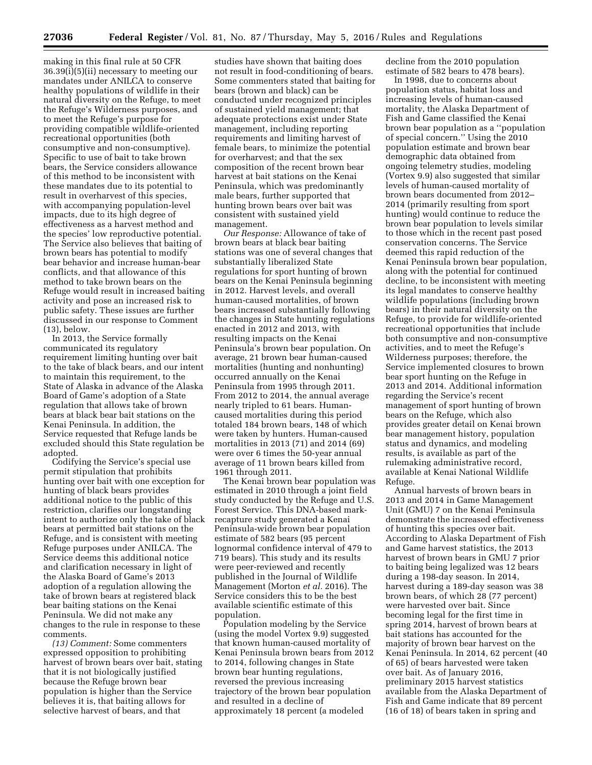making in this final rule at 50 CFR 36.39(i)(5)(ii) necessary to meeting our mandates under ANILCA to conserve healthy populations of wildlife in their natural diversity on the Refuge, to meet the Refuge's Wilderness purposes, and to meet the Refuge's purpose for providing compatible wildlife-oriented recreational opportunities (both consumptive and non-consumptive). Specific to use of bait to take brown bears, the Service considers allowance of this method to be inconsistent with these mandates due to its potential to result in overharvest of this species, with accompanying population-level impacts, due to its high degree of effectiveness as a harvest method and the species' low reproductive potential. The Service also believes that baiting of brown bears has potential to modify bear behavior and increase human-bear conflicts, and that allowance of this method to take brown bears on the Refuge would result in increased baiting activity and pose an increased risk to public safety. These issues are further discussed in our response to Comment (13), below.

In 2013, the Service formally communicated its regulatory requirement limiting hunting over bait to the take of black bears, and our intent to maintain this requirement, to the State of Alaska in advance of the Alaska Board of Game's adoption of a State regulation that allows take of brown bears at black bear bait stations on the Kenai Peninsula. In addition, the Service requested that Refuge lands be excluded should this State regulation be adopted.

Codifying the Service's special use permit stipulation that prohibits hunting over bait with one exception for hunting of black bears provides additional notice to the public of this restriction, clarifies our longstanding intent to authorize only the take of black bears at permitted bait stations on the Refuge, and is consistent with meeting Refuge purposes under ANILCA. The Service deems this additional notice and clarification necessary in light of the Alaska Board of Game's 2013 adoption of a regulation allowing the take of brown bears at registered black bear baiting stations on the Kenai Peninsula. We did not make any changes to the rule in response to these comments.

*(13) Comment:* Some commenters expressed opposition to prohibiting harvest of brown bears over bait, stating that it is not biologically justified because the Refuge brown bear population is higher than the Service believes it is, that baiting allows for selective harvest of bears, and that

studies have shown that baiting does not result in food-conditioning of bears. Some commenters stated that baiting for bears (brown and black) can be conducted under recognized principles of sustained yield management; that adequate protections exist under State management, including reporting requirements and limiting harvest of female bears, to minimize the potential for overharvest; and that the sex composition of the recent brown bear harvest at bait stations on the Kenai Peninsula, which was predominantly male bears, further supported that hunting brown bears over bait was consistent with sustained yield management.

*Our Response:* Allowance of take of brown bears at black bear baiting stations was one of several changes that substantially liberalized State regulations for sport hunting of brown bears on the Kenai Peninsula beginning in 2012. Harvest levels, and overall human-caused mortalities, of brown bears increased substantially following the changes in State hunting regulations enacted in 2012 and 2013, with resulting impacts on the Kenai Peninsula's brown bear population. On average, 21 brown bear human-caused mortalities (hunting and nonhunting) occurred annually on the Kenai Peninsula from 1995 through 2011. From 2012 to 2014, the annual average nearly tripled to 61 bears. Humancaused mortalities during this period totaled 184 brown bears, 148 of which were taken by hunters. Human-caused mortalities in 2013 (71) and 2014 (69) were over 6 times the 50-year annual average of 11 brown bears killed from 1961 through 2011.

The Kenai brown bear population was estimated in 2010 through a joint field study conducted by the Refuge and U.S. Forest Service. This DNA-based markrecapture study generated a Kenai Peninsula-wide brown bear population estimate of 582 bears (95 percent lognormal confidence interval of 479 to 719 bears). This study and its results were peer-reviewed and recently published in the Journal of Wildlife Management (Morton *et al.* 2016). The Service considers this to be the best available scientific estimate of this population.

Population modeling by the Service (using the model Vortex 9.9) suggested that known human-caused mortality of Kenai Peninsula brown bears from 2012 to 2014, following changes in State brown bear hunting regulations, reversed the previous increasing trajectory of the brown bear population and resulted in a decline of approximately 18 percent (a modeled

decline from the 2010 population estimate of 582 bears to 478 bears).

In 1998, due to concerns about population status, habitat loss and increasing levels of human-caused mortality, the Alaska Department of Fish and Game classified the Kenai brown bear population as a ''population of special concern.'' Using the 2010 population estimate and brown bear demographic data obtained from ongoing telemetry studies, modeling (Vortex 9.9) also suggested that similar levels of human-caused mortality of brown bears documented from 2012– 2014 (primarily resulting from sport hunting) would continue to reduce the brown bear population to levels similar to those which in the recent past posed conservation concerns. The Service deemed this rapid reduction of the Kenai Peninsula brown bear population, along with the potential for continued decline, to be inconsistent with meeting its legal mandates to conserve healthy wildlife populations (including brown bears) in their natural diversity on the Refuge, to provide for wildlife-oriented recreational opportunities that include both consumptive and non-consumptive activities, and to meet the Refuge's Wilderness purposes; therefore, the Service implemented closures to brown bear sport hunting on the Refuge in 2013 and 2014. Additional information regarding the Service's recent management of sport hunting of brown bears on the Refuge, which also provides greater detail on Kenai brown bear management history, population status and dynamics, and modeling results, is available as part of the rulemaking administrative record, available at Kenai National Wildlife Refuge.

Annual harvests of brown bears in 2013 and 2014 in Game Management Unit (GMU) 7 on the Kenai Peninsula demonstrate the increased effectiveness of hunting this species over bait. According to Alaska Department of Fish and Game harvest statistics, the 2013 harvest of brown bears in GMU 7 prior to baiting being legalized was 12 bears during a 198-day season. In 2014, harvest during a 189-day season was 38 brown bears, of which 28 (77 percent) were harvested over bait. Since becoming legal for the first time in spring 2014, harvest of brown bears at bait stations has accounted for the majority of brown bear harvest on the Kenai Peninsula. In 2014, 62 percent (40 of 65) of bears harvested were taken over bait. As of January 2016, preliminary 2015 harvest statistics available from the Alaska Department of Fish and Game indicate that 89 percent (16 of 18) of bears taken in spring and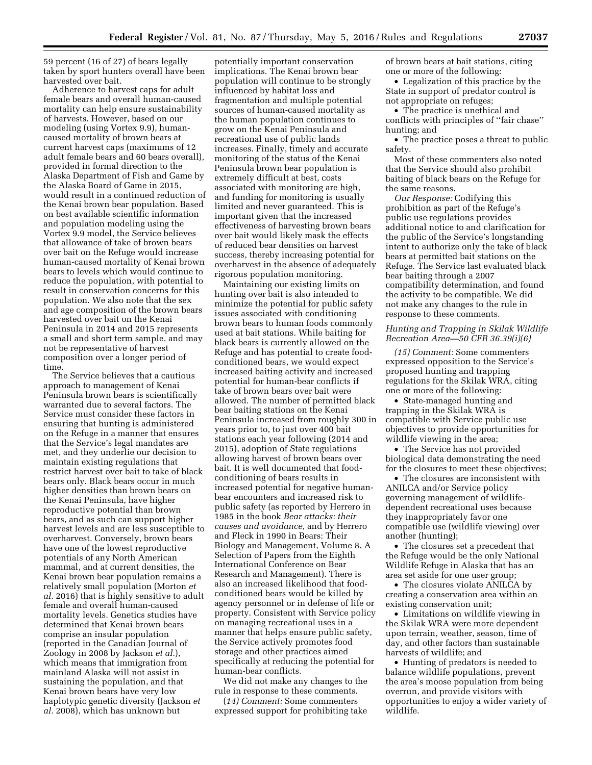59 percent (16 of 27) of bears legally taken by sport hunters overall have been harvested over bait.

Adherence to harvest caps for adult female bears and overall human-caused mortality can help ensure sustainability of harvests. However, based on our modeling (using Vortex 9.9), humancaused mortality of brown bears at current harvest caps (maximums of 12 adult female bears and 60 bears overall), provided in formal direction to the Alaska Department of Fish and Game by the Alaska Board of Game in 2015, would result in a continued reduction of the Kenai brown bear population. Based on best available scientific information and population modeling using the Vortex 9.9 model, the Service believes that allowance of take of brown bears over bait on the Refuge would increase human-caused mortality of Kenai brown bears to levels which would continue to reduce the population, with potential to result in conservation concerns for this population. We also note that the sex and age composition of the brown bears harvested over bait on the Kenai Peninsula in 2014 and 2015 represents a small and short term sample, and may not be representative of harvest composition over a longer period of time.

The Service believes that a cautious approach to management of Kenai Peninsula brown bears is scientifically warranted due to several factors. The Service must consider these factors in ensuring that hunting is administered on the Refuge in a manner that ensures that the Service's legal mandates are met, and they underlie our decision to maintain existing regulations that restrict harvest over bait to take of black bears only. Black bears occur in much higher densities than brown bears on the Kenai Peninsula, have higher reproductive potential than brown bears, and as such can support higher harvest levels and are less susceptible to overharvest. Conversely, brown bears have one of the lowest reproductive potentials of any North American mammal, and at current densities, the Kenai brown bear population remains a relatively small population (Morton *et al.* 2016) that is highly sensitive to adult female and overall human-caused mortality levels. Genetics studies have determined that Kenai brown bears comprise an insular population (reported in the Canadian Journal of Zoology in 2008 by Jackson *et al.*), which means that immigration from mainland Alaska will not assist in sustaining the population, and that Kenai brown bears have very low haplotypic genetic diversity (Jackson *et al.* 2008), which has unknown but

potentially important conservation implications. The Kenai brown bear population will continue to be strongly influenced by habitat loss and fragmentation and multiple potential sources of human-caused mortality as the human population continues to grow on the Kenai Peninsula and recreational use of public lands increases. Finally, timely and accurate monitoring of the status of the Kenai Peninsula brown bear population is extremely difficult at best, costs associated with monitoring are high, and funding for monitoring is usually limited and never guaranteed. This is important given that the increased effectiveness of harvesting brown bears over bait would likely mask the effects of reduced bear densities on harvest success, thereby increasing potential for overharvest in the absence of adequately rigorous population monitoring.

Maintaining our existing limits on hunting over bait is also intended to minimize the potential for public safety issues associated with conditioning brown bears to human foods commonly used at bait stations. While baiting for black bears is currently allowed on the Refuge and has potential to create foodconditioned bears, we would expect increased baiting activity and increased potential for human-bear conflicts if take of brown bears over bait were allowed. The number of permitted black bear baiting stations on the Kenai Peninsula increased from roughly 300 in years prior to, to just over 400 bait stations each year following (2014 and 2015), adoption of State regulations allowing harvest of brown bears over bait. It is well documented that foodconditioning of bears results in increased potential for negative humanbear encounters and increased risk to public safety (as reported by Herrero in 1985 in the book *Bear attacks: their causes and avoidance,* and by Herrero and Fleck in 1990 in Bears: Their Biology and Management, Volume 8, A Selection of Papers from the Eighth International Conference on Bear Research and Management). There is also an increased likelihood that foodconditioned bears would be killed by agency personnel or in defense of life or property. Consistent with Service policy on managing recreational uses in a manner that helps ensure public safety, the Service actively promotes food storage and other practices aimed specifically at reducing the potential for human-bear conflicts.

We did not make any changes to the rule in response to these comments.

(*14) Comment:* Some commenters expressed support for prohibiting take of brown bears at bait stations, citing one or more of the following:

• Legalization of this practice by the State in support of predator control is not appropriate on refuges;

• The practice is unethical and conflicts with principles of ''fair chase'' hunting; and

• The practice poses a threat to public safety.

Most of these commenters also noted that the Service should also prohibit baiting of black bears on the Refuge for the same reasons.

*Our Response:* Codifying this prohibition as part of the Refuge's public use regulations provides additional notice to and clarification for the public of the Service's longstanding intent to authorize only the take of black bears at permitted bait stations on the Refuge. The Service last evaluated black bear baiting through a 2007 compatibility determination, and found the activity to be compatible. We did not make any changes to the rule in response to these comments.

### *Hunting and Trapping in Skilak Wildlife Recreation Area—50 CFR 36.39(i)(6)*

*(15) Comment:* Some commenters expressed opposition to the Service's proposed hunting and trapping regulations for the Skilak WRA, citing one or more of the following:

• State-managed hunting and trapping in the Skilak WRA is compatible with Service public use objectives to provide opportunities for wildlife viewing in the area;

• The Service has not provided biological data demonstrating the need for the closures to meet these objectives;

• The closures are inconsistent with ANILCA and/or Service policy governing management of wildlifedependent recreational uses because they inappropriately favor one compatible use (wildlife viewing) over another (hunting);

• The closures set a precedent that the Refuge would be the only National Wildlife Refuge in Alaska that has an area set aside for one user group;

• The closures violate ANILCA by creating a conservation area within an existing conservation unit;

• Limitations on wildlife viewing in the Skilak WRA were more dependent upon terrain, weather, season, time of day, and other factors than sustainable harvests of wildlife; and

• Hunting of predators is needed to balance wildlife populations, prevent the area's moose population from being overrun, and provide visitors with opportunities to enjoy a wider variety of wildlife.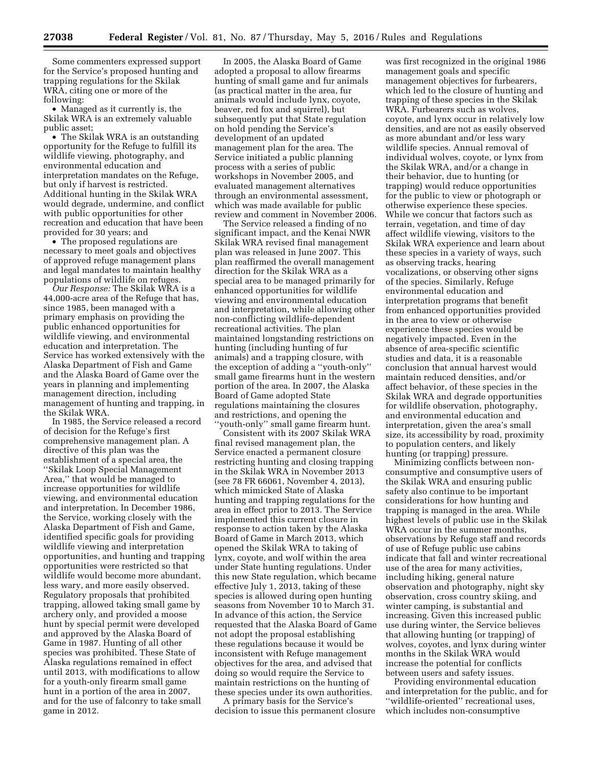Some commenters expressed support for the Service's proposed hunting and trapping regulations for the Skilak WRA, citing one or more of the following:

• Managed as it currently is, the Skilak WRA is an extremely valuable public asset;

• The Skilak WRA is an outstanding opportunity for the Refuge to fulfill its wildlife viewing, photography, and environmental education and interpretation mandates on the Refuge, but only if harvest is restricted. Additional hunting in the Skilak WRA would degrade, undermine, and conflict with public opportunities for other recreation and education that have been provided for 30 years; and

• The proposed regulations are necessary to meet goals and objectives of approved refuge management plans and legal mandates to maintain healthy populations of wildlife on refuges.

*Our Response:* The Skilak WRA is a 44,000-acre area of the Refuge that has, since 1985, been managed with a primary emphasis on providing the public enhanced opportunities for wildlife viewing, and environmental education and interpretation. The Service has worked extensively with the Alaska Department of Fish and Game and the Alaska Board of Game over the years in planning and implementing management direction, including management of hunting and trapping, in the Skilak WRA.

In 1985, the Service released a record of decision for the Refuge's first comprehensive management plan. A directive of this plan was the establishment of a special area, the ''Skilak Loop Special Management Area,'' that would be managed to increase opportunities for wildlife viewing, and environmental education and interpretation. In December 1986, the Service, working closely with the Alaska Department of Fish and Game, identified specific goals for providing wildlife viewing and interpretation opportunities, and hunting and trapping opportunities were restricted so that wildlife would become more abundant, less wary, and more easily observed. Regulatory proposals that prohibited trapping, allowed taking small game by archery only, and provided a moose hunt by special permit were developed and approved by the Alaska Board of Game in 1987. Hunting of all other species was prohibited. These State of Alaska regulations remained in effect until 2013, with modifications to allow for a youth-only firearm small game hunt in a portion of the area in 2007, and for the use of falconry to take small game in 2012.

In 2005, the Alaska Board of Game adopted a proposal to allow firearms hunting of small game and fur animals (as practical matter in the area, fur animals would include lynx, coyote, beaver, red fox and squirrel), but subsequently put that State regulation on hold pending the Service's development of an updated management plan for the area. The Service initiated a public planning process with a series of public workshops in November 2005, and evaluated management alternatives through an environmental assessment, which was made available for public review and comment in November 2006.

The Service released a finding of no significant impact, and the Kenai NWR Skilak WRA revised final management plan was released in June 2007. This plan reaffirmed the overall management direction for the Skilak WRA as a special area to be managed primarily for enhanced opportunities for wildlife viewing and environmental education and interpretation, while allowing other non-conflicting wildlife-dependent recreational activities. The plan maintained longstanding restrictions on hunting (including hunting of fur animals) and a trapping closure, with the exception of adding a ''youth-only'' small game firearms hunt in the western portion of the area. In 2007, the Alaska Board of Game adopted State regulations maintaining the closures and restrictions, and opening the 'youth-only" small game firearm hunt.

Consistent with its 2007 Skilak WRA final revised management plan, the Service enacted a permanent closure restricting hunting and closing trapping in the Skilak WRA in November 2013 (see 78 FR 66061, November 4, 2013), which mimicked State of Alaska hunting and trapping regulations for the area in effect prior to 2013. The Service implemented this current closure in response to action taken by the Alaska Board of Game in March 2013, which opened the Skilak WRA to taking of lynx, coyote, and wolf within the area under State hunting regulations. Under this new State regulation, which became effective July 1, 2013, taking of these species is allowed during open hunting seasons from November 10 to March 31. In advance of this action, the Service requested that the Alaska Board of Game not adopt the proposal establishing these regulations because it would be inconsistent with Refuge management objectives for the area, and advised that doing so would require the Service to maintain restrictions on the hunting of these species under its own authorities.

A primary basis for the Service's decision to issue this permanent closure

was first recognized in the original 1986 management goals and specific management objectives for furbearers, which led to the closure of hunting and trapping of these species in the Skilak WRA. Furbearers such as wolves, coyote, and lynx occur in relatively low densities, and are not as easily observed as more abundant and/or less wary wildlife species. Annual removal of individual wolves, coyote, or lynx from the Skilak WRA, and/or a change in their behavior, due to hunting (or trapping) would reduce opportunities for the public to view or photograph or otherwise experience these species. While we concur that factors such as terrain, vegetation, and time of day affect wildlife viewing, visitors to the Skilak WRA experience and learn about these species in a variety of ways, such as observing tracks, hearing vocalizations, or observing other signs of the species. Similarly, Refuge environmental education and interpretation programs that benefit from enhanced opportunities provided in the area to view or otherwise experience these species would be negatively impacted. Even in the absence of area-specific scientific studies and data, it is a reasonable conclusion that annual harvest would maintain reduced densities, and/or affect behavior, of these species in the Skilak WRA and degrade opportunities for wildlife observation, photography, and environmental education and interpretation, given the area's small size, its accessibility by road, proximity to population centers, and likely hunting (or trapping) pressure.

Minimizing conflicts between nonconsumptive and consumptive users of the Skilak WRA and ensuring public safety also continue to be important considerations for how hunting and trapping is managed in the area. While highest levels of public use in the Skilak WRA occur in the summer months, observations by Refuge staff and records of use of Refuge public use cabins indicate that fall and winter recreational use of the area for many activities, including hiking, general nature observation and photography, night sky observation, cross country skiing, and winter camping, is substantial and increasing. Given this increased public use during winter, the Service believes that allowing hunting (or trapping) of wolves, coyotes, and lynx during winter months in the Skilak WRA would increase the potential for conflicts between users and safety issues.

Providing environmental education and interpretation for the public, and for ''wildlife-oriented'' recreational uses, which includes non-consumptive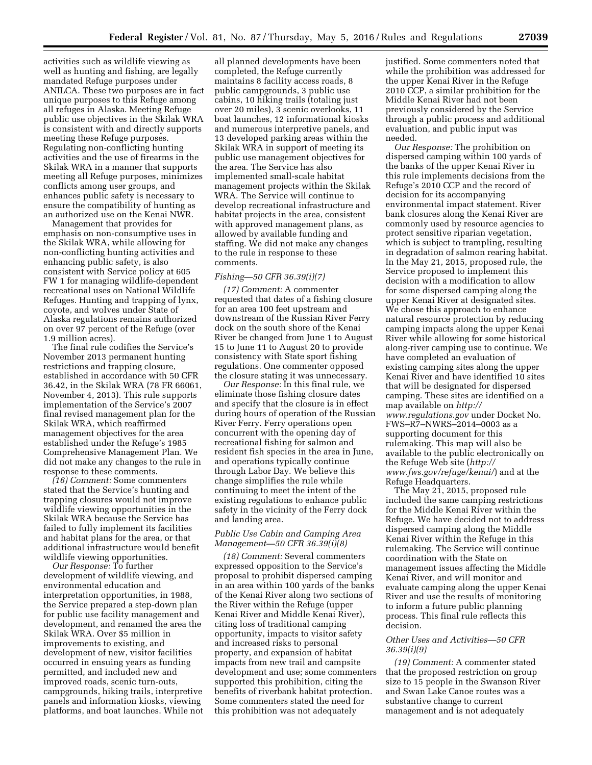activities such as wildlife viewing as well as hunting and fishing, are legally mandated Refuge purposes under ANILCA. These two purposes are in fact unique purposes to this Refuge among all refuges in Alaska. Meeting Refuge public use objectives in the Skilak WRA is consistent with and directly supports meeting these Refuge purposes. Regulating non-conflicting hunting activities and the use of firearms in the Skilak WRA in a manner that supports meeting all Refuge purposes, minimizes conflicts among user groups, and enhances public safety is necessary to ensure the compatibility of hunting as an authorized use on the Kenai NWR.

Management that provides for emphasis on non-consumptive uses in the Skilak WRA, while allowing for non-conflicting hunting activities and enhancing public safety, is also consistent with Service policy at 605 FW 1 for managing wildlife-dependent recreational uses on National Wildlife Refuges. Hunting and trapping of lynx, coyote, and wolves under State of Alaska regulations remains authorized on over 97 percent of the Refuge (over 1.9 million acres).

The final rule codifies the Service's November 2013 permanent hunting restrictions and trapping closure, established in accordance with 50 CFR 36.42, in the Skilak WRA (78 FR 66061, November 4, 2013). This rule supports implementation of the Service's 2007 final revised management plan for the Skilak WRA, which reaffirmed management objectives for the area established under the Refuge's 1985 Comprehensive Management Plan. We did not make any changes to the rule in response to these comments.

*(16) Comment:* Some commenters stated that the Service's hunting and trapping closures would not improve wildlife viewing opportunities in the Skilak WRA because the Service has failed to fully implement its facilities and habitat plans for the area, or that additional infrastructure would benefit wildlife viewing opportunities.

*Our Response:* To further development of wildlife viewing, and environmental education and interpretation opportunities, in 1988, the Service prepared a step-down plan for public use facility management and development, and renamed the area the Skilak WRA. Over \$5 million in improvements to existing, and development of new, visitor facilities occurred in ensuing years as funding permitted, and included new and improved roads, scenic turn-outs, campgrounds, hiking trails, interpretive panels and information kiosks, viewing platforms, and boat launches. While not

all planned developments have been completed, the Refuge currently maintains 8 facility access roads, 8 public campgrounds, 3 public use cabins, 10 hiking trails (totaling just over 20 miles), 3 scenic overlooks, 11 boat launches, 12 informational kiosks and numerous interpretive panels, and 13 developed parking areas within the Skilak WRA in support of meeting its public use management objectives for the area. The Service has also implemented small-scale habitat management projects within the Skilak WRA. The Service will continue to develop recreational infrastructure and habitat projects in the area, consistent with approved management plans, as allowed by available funding and staffing. We did not make any changes to the rule in response to these comments.

#### *Fishing—50 CFR 36.39(i)(7)*

*(17) Comment:* A commenter requested that dates of a fishing closure for an area 100 feet upstream and downstream of the Russian River Ferry dock on the south shore of the Kenai River be changed from June 1 to August 15 to June 11 to August 20 to provide consistency with State sport fishing regulations. One commenter opposed the closure stating it was unnecessary.

*Our Response:* In this final rule, we eliminate those fishing closure dates and specify that the closure is in effect during hours of operation of the Russian River Ferry. Ferry operations open concurrent with the opening day of recreational fishing for salmon and resident fish species in the area in June, and operations typically continue through Labor Day. We believe this change simplifies the rule while continuing to meet the intent of the existing regulations to enhance public safety in the vicinity of the Ferry dock and landing area.

# *Public Use Cabin and Camping Area Management—50 CFR 36.39(i)(8)*

*(18) Comment:* Several commenters expressed opposition to the Service's proposal to prohibit dispersed camping in an area within 100 yards of the banks of the Kenai River along two sections of the River within the Refuge (upper Kenai River and Middle Kenai River), citing loss of traditional camping opportunity, impacts to visitor safety and increased risks to personal property, and expansion of habitat impacts from new trail and campsite development and use; some commenters supported this prohibition, citing the benefits of riverbank habitat protection. Some commenters stated the need for this prohibition was not adequately

justified. Some commenters noted that while the prohibition was addressed for the upper Kenai River in the Refuge 2010 CCP, a similar prohibition for the Middle Kenai River had not been previously considered by the Service through a public process and additional evaluation, and public input was needed.

*Our Response:* The prohibition on dispersed camping within 100 yards of the banks of the upper Kenai River in this rule implements decisions from the Refuge's 2010 CCP and the record of decision for its accompanying environmental impact statement. River bank closures along the Kenai River are commonly used by resource agencies to protect sensitive riparian vegetation, which is subject to trampling, resulting in degradation of salmon rearing habitat. In the May 21, 2015, proposed rule, the Service proposed to implement this decision with a modification to allow for some dispersed camping along the upper Kenai River at designated sites. We chose this approach to enhance natural resource protection by reducing camping impacts along the upper Kenai River while allowing for some historical along-river camping use to continue. We have completed an evaluation of existing camping sites along the upper Kenai River and have identified 10 sites that will be designated for dispersed camping. These sites are identified on a map available on *[http://](http://www.regulations.gov) [www.regulations.gov](http://www.regulations.gov)* under Docket No. FWS–R7–NWRS–2014–0003 as a supporting document for this rulemaking. This map will also be available to the public electronically on the Refuge Web site (*[http://](http://www.fws.gov/refuge/kenai/) [www.fws.gov/refuge/kenai/](http://www.fws.gov/refuge/kenai/)*) and at the Refuge Headquarters.

The May 21, 2015, proposed rule included the same camping restrictions for the Middle Kenai River within the Refuge. We have decided not to address dispersed camping along the Middle Kenai River within the Refuge in this rulemaking. The Service will continue coordination with the State on management issues affecting the Middle Kenai River, and will monitor and evaluate camping along the upper Kenai River and use the results of monitoring to inform a future public planning process. This final rule reflects this decision.

### *Other Uses and Activities—50 CFR 36.39(i)(9)*

*(19) Comment:* A commenter stated that the proposed restriction on group size to 15 people in the Swanson River and Swan Lake Canoe routes was a substantive change to current management and is not adequately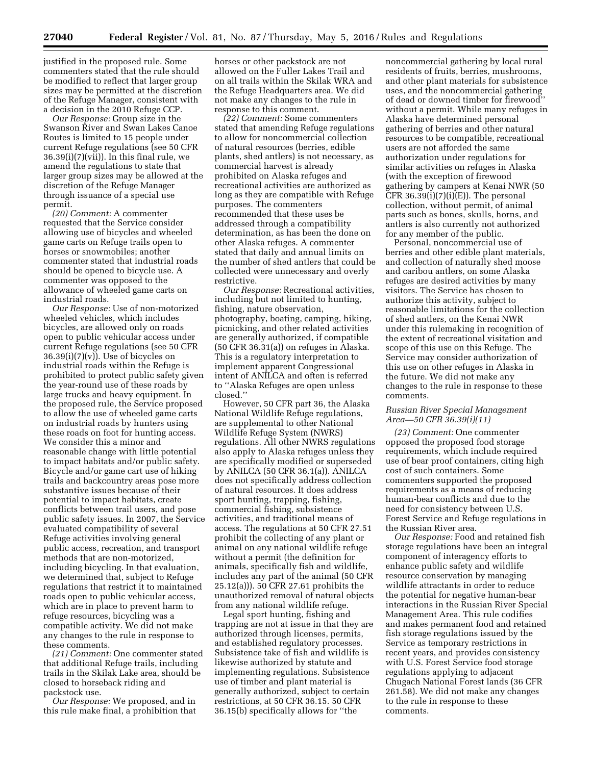justified in the proposed rule. Some commenters stated that the rule should be modified to reflect that larger group sizes may be permitted at the discretion of the Refuge Manager, consistent with a decision in the 2010 Refuge CCP.

*Our Response:* Group size in the Swanson River and Swan Lakes Canoe Routes is limited to 15 people under current Refuge regulations (see 50 CFR 36.39(i)(7)(vii)). In this final rule, we amend the regulations to state that larger group sizes may be allowed at the discretion of the Refuge Manager through issuance of a special use permit.

*(20) Comment:* A commenter requested that the Service consider allowing use of bicycles and wheeled game carts on Refuge trails open to horses or snowmobiles; another commenter stated that industrial roads should be opened to bicycle use. A commenter was opposed to the allowance of wheeled game carts on industrial roads.

*Our Response:* Use of non-motorized wheeled vehicles, which includes bicycles, are allowed only on roads open to public vehicular access under current Refuge regulations (see 50 CFR  $36.39(i)(7)(v)$ ). Use of bicycles on industrial roads within the Refuge is prohibited to protect public safety given the year-round use of these roads by large trucks and heavy equipment. In the proposed rule, the Service proposed to allow the use of wheeled game carts on industrial roads by hunters using these roads on foot for hunting access. We consider this a minor and reasonable change with little potential to impact habitats and/or public safety. Bicycle and/or game cart use of hiking trails and backcountry areas pose more substantive issues because of their potential to impact habitats, create conflicts between trail users, and pose public safety issues. In 2007, the Service evaluated compatibility of several Refuge activities involving general public access, recreation, and transport methods that are non-motorized, including bicycling. In that evaluation, we determined that, subject to Refuge regulations that restrict it to maintained roads open to public vehicular access, which are in place to prevent harm to refuge resources, bicycling was a compatible activity. We did not make any changes to the rule in response to these comments.

*(21) Comment:* One commenter stated that additional Refuge trails, including trails in the Skilak Lake area, should be closed to horseback riding and packstock use.

*Our Response:* We proposed, and in this rule make final, a prohibition that

horses or other packstock are not allowed on the Fuller Lakes Trail and on all trails within the Skilak WRA and the Refuge Headquarters area. We did not make any changes to the rule in response to this comment.

*(22) Comment:* Some commenters stated that amending Refuge regulations to allow for noncommercial collection of natural resources (berries, edible plants, shed antlers) is not necessary, as commercial harvest is already prohibited on Alaska refuges and recreational activities are authorized as long as they are compatible with Refuge purposes. The commenters recommended that these uses be addressed through a compatibility determination, as has been the done on other Alaska refuges. A commenter stated that daily and annual limits on the number of shed antlers that could be collected were unnecessary and overly restrictive.

*Our Response:* Recreational activities, including but not limited to hunting, fishing, nature observation, photography, boating, camping, hiking, picnicking, and other related activities are generally authorized, if compatible (50 CFR 36.31(a)) on refuges in Alaska. This is a regulatory interpretation to implement apparent Congressional intent of ANILCA and often is referred to ''Alaska Refuges are open unless closed.''

However, 50 CFR part 36, the Alaska National Wildlife Refuge regulations, are supplemental to other National Wildlife Refuge System (NWRS) regulations. All other NWRS regulations also apply to Alaska refuges unless they are specifically modified or superseded by ANILCA (50 CFR 36.1(a)). ANILCA does not specifically address collection of natural resources. It does address sport hunting, trapping, fishing, commercial fishing, subsistence activities, and traditional means of access. The regulations at 50 CFR 27.51 prohibit the collecting of any plant or animal on any national wildlife refuge without a permit (the definition for animals, specifically fish and wildlife, includes any part of the animal (50 CFR 25.12(a))). 50 CFR 27.61 prohibits the unauthorized removal of natural objects from any national wildlife refuge.

Legal sport hunting, fishing and trapping are not at issue in that they are authorized through licenses, permits, and established regulatory processes. Subsistence take of fish and wildlife is likewise authorized by statute and implementing regulations. Subsistence use of timber and plant material is generally authorized, subject to certain restrictions, at 50 CFR 36.15. 50 CFR 36.15(b) specifically allows for ''the

noncommercial gathering by local rural residents of fruits, berries, mushrooms, and other plant materials for subsistence uses, and the noncommercial gathering of dead or downed timber for firewood'' without a permit. While many refuges in Alaska have determined personal gathering of berries and other natural resources to be compatible, recreational users are not afforded the same authorization under regulations for similar activities on refuges in Alaska (with the exception of firewood gathering by campers at Kenai NWR (50 CFR  $36.39(i)(7)(i)(E)$ ). The personal collection, without permit, of animal parts such as bones, skulls, horns, and antlers is also currently not authorized for any member of the public.

Personal, noncommercial use of berries and other edible plant materials, and collection of naturally shed moose and caribou antlers, on some Alaska refuges are desired activities by many visitors. The Service has chosen to authorize this activity, subject to reasonable limitations for the collection of shed antlers, on the Kenai NWR under this rulemaking in recognition of the extent of recreational visitation and scope of this use on this Refuge. The Service may consider authorization of this use on other refuges in Alaska in the future. We did not make any changes to the rule in response to these comments.

### *Russian River Special Management Area—50 CFR 36.39(i)(11)*

*(23) Comment:* One commenter opposed the proposed food storage requirements, which include required use of bear proof containers, citing high cost of such containers. Some commenters supported the proposed requirements as a means of reducing human-bear conflicts and due to the need for consistency between U.S. Forest Service and Refuge regulations in the Russian River area.

*Our Response:* Food and retained fish storage regulations have been an integral component of interagency efforts to enhance public safety and wildlife resource conservation by managing wildlife attractants in order to reduce the potential for negative human-bear interactions in the Russian River Special Management Area. This rule codifies and makes permanent food and retained fish storage regulations issued by the Service as temporary restrictions in recent years, and provides consistency with U.S. Forest Service food storage regulations applying to adjacent Chugach National Forest lands (36 CFR 261.58). We did not make any changes to the rule in response to these comments.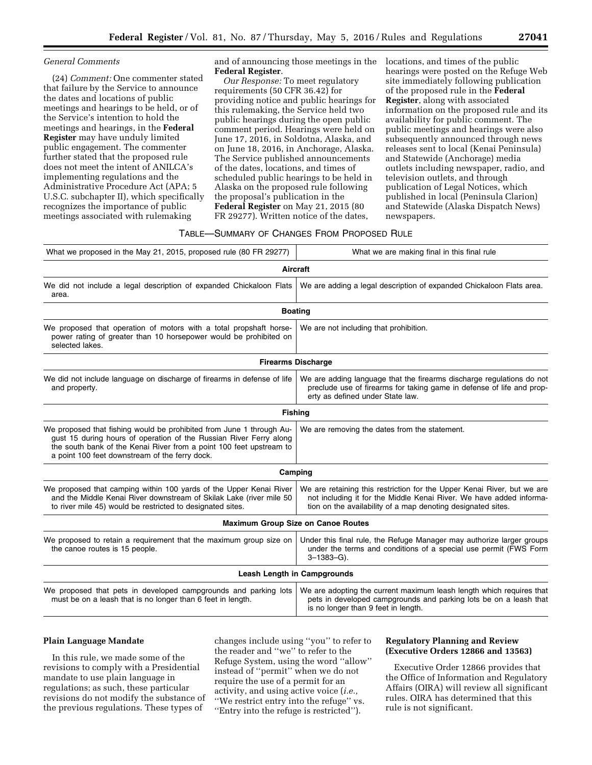#### *General Comments*

(24) *Comment:* One commenter stated that failure by the Service to announce the dates and locations of public meetings and hearings to be held, or of the Service's intention to hold the meetings and hearings, in the **Federal Register** may have unduly limited public engagement. The commenter further stated that the proposed rule does not meet the intent of ANILCA's implementing regulations and the Administrative Procedure Act (APA; 5 U.S.C. subchapter II), which specifically recognizes the importance of public meetings associated with rulemaking

and of announcing those meetings in the **Federal Register**.

*Our Response:* To meet regulatory requirements (50 CFR 36.42) for providing notice and public hearings for this rulemaking, the Service held two public hearings during the open public comment period. Hearings were held on June 17, 2016, in Soldotna, Alaska, and on June 18, 2016, in Anchorage, Alaska. The Service published announcements of the dates, locations, and times of scheduled public hearings to be held in Alaska on the proposed rule following the proposal's publication in the **Federal Register** on May 21, 2015 (80 FR 29277). Written notice of the dates,

locations, and times of the public hearings were posted on the Refuge Web site immediately following publication of the proposed rule in the **Federal Register**, along with associated information on the proposed rule and its availability for public comment. The public meetings and hearings were also subsequently announced through news releases sent to local (Kenai Peninsula) and Statewide (Anchorage) media outlets including newspaper, radio, and television outlets, and through publication of Legal Notices, which published in local (Peninsula Clarion) and Statewide (Alaska Dispatch News) newspapers.

#### TABLE—SUMMARY OF CHANGES FROM PROPOSED RULE

| What we proposed in the May 21, 2015, proposed rule (80 FR 29277)                                                                                                                                                                                                   | What we are making final in this final rule                                                                                                                                                                    |  |  |
|---------------------------------------------------------------------------------------------------------------------------------------------------------------------------------------------------------------------------------------------------------------------|----------------------------------------------------------------------------------------------------------------------------------------------------------------------------------------------------------------|--|--|
|                                                                                                                                                                                                                                                                     | Aircraft                                                                                                                                                                                                       |  |  |
| We did not include a legal description of expanded Chickaloon Flats<br>area.                                                                                                                                                                                        | We are adding a legal description of expanded Chickaloon Flats area.                                                                                                                                           |  |  |
|                                                                                                                                                                                                                                                                     | <b>Boating</b>                                                                                                                                                                                                 |  |  |
| We proposed that operation of motors with a total propshaft horse-<br>power rating of greater than 10 horsepower would be prohibited on<br>selected lakes.                                                                                                          | We are not including that prohibition.                                                                                                                                                                         |  |  |
|                                                                                                                                                                                                                                                                     | <b>Firearms Discharge</b>                                                                                                                                                                                      |  |  |
| We did not include language on discharge of firearms in defense of life<br>and property.                                                                                                                                                                            | We are adding language that the firearms discharge regulations do not<br>preclude use of firearms for taking game in defense of life and prop-<br>erty as defined under State law.                             |  |  |
|                                                                                                                                                                                                                                                                     | <b>Fishing</b>                                                                                                                                                                                                 |  |  |
| We proposed that fishing would be prohibited from June 1 through Au-<br>gust 15 during hours of operation of the Russian River Ferry along<br>the south bank of the Kenai River from a point 100 feet upstream to<br>a point 100 feet downstream of the ferry dock. | We are removing the dates from the statement.                                                                                                                                                                  |  |  |
|                                                                                                                                                                                                                                                                     | Camping                                                                                                                                                                                                        |  |  |
| We proposed that camping within 100 yards of the Upper Kenai River<br>and the Middle Kenai River downstream of Skilak Lake (river mile 50<br>to river mile 45) would be restricted to designated sites.                                                             | We are retaining this restriction for the Upper Kenai River, but we are<br>not including it for the Middle Kenai River. We have added informa-<br>tion on the availability of a map denoting designated sites. |  |  |
|                                                                                                                                                                                                                                                                     | <b>Maximum Group Size on Canoe Routes</b>                                                                                                                                                                      |  |  |
| We proposed to retain a requirement that the maximum group size on<br>the canoe routes is 15 people.                                                                                                                                                                | Under this final rule, the Refuge Manager may authorize larger groups<br>under the terms and conditions of a special use permit (FWS Form<br>$3 - 1383 - G$ ).                                                 |  |  |
|                                                                                                                                                                                                                                                                     | <b>Leash Length in Campgrounds</b>                                                                                                                                                                             |  |  |
| We proposed that pets in developed campgrounds and parking lots<br>must be on a leash that is no longer than 6 feet in length.                                                                                                                                      | We are adopting the current maximum leash length which requires that<br>pets in developed campgrounds and parking lots be on a leash that<br>is no longer than 9 feet in length.                               |  |  |

# **Plain Language Mandate**

In this rule, we made some of the revisions to comply with a Presidential mandate to use plain language in regulations; as such, these particular revisions do not modify the substance of the previous regulations. These types of

changes include using ''you'' to refer to the reader and ''we'' to refer to the Refuge System, using the word ''allow'' instead of ''permit'' when we do not require the use of a permit for an activity, and using active voice (*i.e.,*  ''We restrict entry into the refuge'' vs. ''Entry into the refuge is restricted'').

### **Regulatory Planning and Review (Executive Orders 12866 and 13563)**

Executive Order 12866 provides that the Office of Information and Regulatory Affairs (OIRA) will review all significant rules. OIRA has determined that this rule is not significant.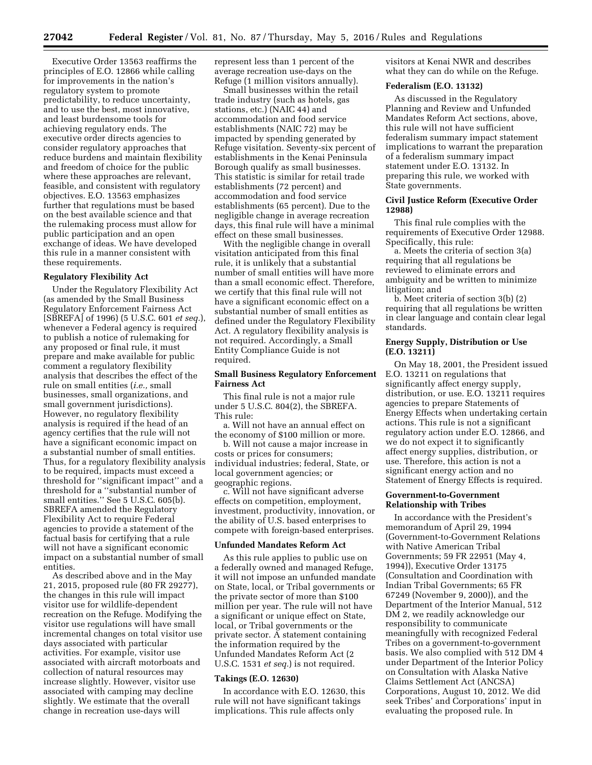Executive Order 13563 reaffirms the principles of E.O. 12866 while calling for improvements in the nation's regulatory system to promote predictability, to reduce uncertainty, and to use the best, most innovative, and least burdensome tools for achieving regulatory ends. The executive order directs agencies to consider regulatory approaches that reduce burdens and maintain flexibility and freedom of choice for the public where these approaches are relevant, feasible, and consistent with regulatory objectives. E.O. 13563 emphasizes further that regulations must be based on the best available science and that the rulemaking process must allow for public participation and an open exchange of ideas. We have developed this rule in a manner consistent with these requirements.

#### **Regulatory Flexibility Act**

Under the Regulatory Flexibility Act (as amended by the Small Business Regulatory Enforcement Fairness Act [SBREFA] of 1996) (5 U.S.C. 601 *et seq.*), whenever a Federal agency is required to publish a notice of rulemaking for any proposed or final rule, it must prepare and make available for public comment a regulatory flexibility analysis that describes the effect of the rule on small entities (*i.e.,* small businesses, small organizations, and small government jurisdictions). However, no regulatory flexibility analysis is required if the head of an agency certifies that the rule will not have a significant economic impact on a substantial number of small entities. Thus, for a regulatory flexibility analysis to be required, impacts must exceed a threshold for ''significant impact'' and a threshold for a ''substantial number of small entities.'' See 5 U.S.C. 605(b). SBREFA amended the Regulatory Flexibility Act to require Federal agencies to provide a statement of the factual basis for certifying that a rule will not have a significant economic impact on a substantial number of small entities.

As described above and in the May 21, 2015, proposed rule (80 FR 29277), the changes in this rule will impact visitor use for wildlife-dependent recreation on the Refuge. Modifying the visitor use regulations will have small incremental changes on total visitor use days associated with particular activities. For example, visitor use associated with aircraft motorboats and collection of natural resources may increase slightly. However, visitor use associated with camping may decline slightly. We estimate that the overall change in recreation use-days will

represent less than 1 percent of the average recreation use-days on the Refuge (1 million visitors annually).

Small businesses within the retail trade industry (such as hotels, gas stations, etc.) (NAIC 44) and accommodation and food service establishments (NAIC 72) may be impacted by spending generated by Refuge visitation. Seventy-six percent of establishments in the Kenai Peninsula Borough qualify as small businesses. This statistic is similar for retail trade establishments (72 percent) and accommodation and food service establishments (65 percent). Due to the negligible change in average recreation days, this final rule will have a minimal effect on these small businesses.

With the negligible change in overall visitation anticipated from this final rule, it is unlikely that a substantial number of small entities will have more than a small economic effect. Therefore, we certify that this final rule will not have a significant economic effect on a substantial number of small entities as defined under the Regulatory Flexibility Act. A regulatory flexibility analysis is not required. Accordingly, a Small Entity Compliance Guide is not required.

# **Small Business Regulatory Enforcement Fairness Act**

This final rule is not a major rule under 5 U.S.C. 804(2), the SBREFA. This rule:

a. Will not have an annual effect on the economy of \$100 million or more.

b. Will not cause a major increase in costs or prices for consumers; individual industries; federal, State, or local government agencies; or geographic regions.

c. Will not have significant adverse effects on competition, employment, investment, productivity, innovation, or the ability of U.S. based enterprises to compete with foreign-based enterprises.

#### **Unfunded Mandates Reform Act**

As this rule applies to public use on a federally owned and managed Refuge, it will not impose an unfunded mandate on State, local, or Tribal governments or the private sector of more than \$100 million per year. The rule will not have a significant or unique effect on State, local, or Tribal governments or the private sector. A statement containing the information required by the Unfunded Mandates Reform Act (2 U.S.C. 1531 *et seq.*) is not required.

### **Takings (E.O. 12630)**

In accordance with E.O. 12630, this rule will not have significant takings implications. This rule affects only

visitors at Kenai NWR and describes what they can do while on the Refuge.

#### **Federalism (E.O. 13132)**

As discussed in the Regulatory Planning and Review and Unfunded Mandates Reform Act sections, above, this rule will not have sufficient federalism summary impact statement implications to warrant the preparation of a federalism summary impact statement under E.O. 13132. In preparing this rule, we worked with State governments.

# **Civil Justice Reform (Executive Order 12988)**

This final rule complies with the requirements of Executive Order 12988. Specifically, this rule:

a. Meets the criteria of section 3(a) requiring that all regulations be reviewed to eliminate errors and ambiguity and be written to minimize litigation; and

b. Meet criteria of section 3(b) (2) requiring that all regulations be written in clear language and contain clear legal standards.

# **Energy Supply, Distribution or Use (E.O. 13211)**

On May 18, 2001, the President issued E.O. 13211 on regulations that significantly affect energy supply, distribution, or use. E.O. 13211 requires agencies to prepare Statements of Energy Effects when undertaking certain actions. This rule is not a significant regulatory action under E.O. 12866, and we do not expect it to significantly affect energy supplies, distribution, or use. Therefore, this action is not a significant energy action and no Statement of Energy Effects is required.

### **Government-to-Government Relationship with Tribes**

In accordance with the President's memorandum of April 29, 1994 (Government-to-Government Relations with Native American Tribal Governments; 59 FR 22951 (May 4, 1994)), Executive Order 13175 (Consultation and Coordination with Indian Tribal Governments; 65 FR 67249 (November 9, 2000)), and the Department of the Interior Manual, 512 DM 2, we readily acknowledge our responsibility to communicate meaningfully with recognized Federal Tribes on a government-to-government basis. We also complied with 512 DM 4 under Department of the Interior Policy on Consultation with Alaska Native Claims Settlement Act (ANCSA) Corporations, August 10, 2012. We did seek Tribes' and Corporations' input in evaluating the proposed rule. In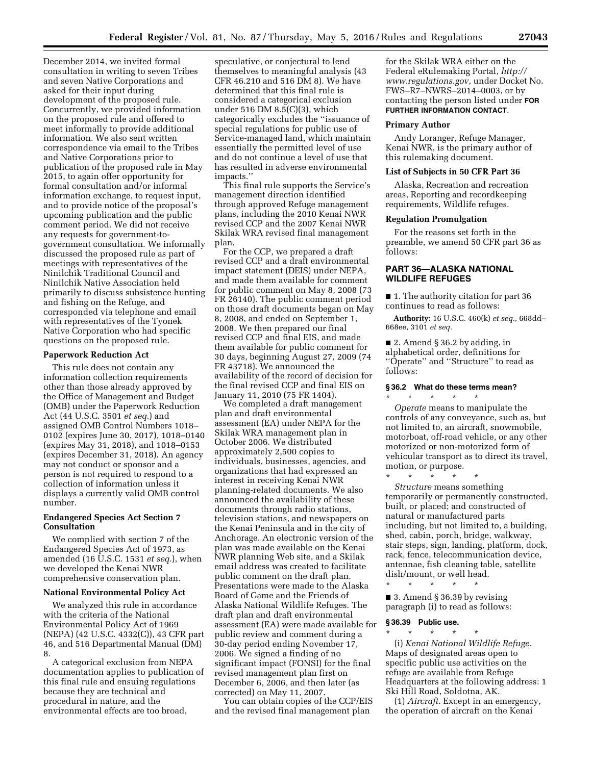December 2014, we invited formal consultation in writing to seven Tribes and seven Native Corporations and asked for their input during development of the proposed rule. Concurrently, we provided information on the proposed rule and offered to meet informally to provide additional information. We also sent written correspondence via email to the Tribes and Native Corporations prior to publication of the proposed rule in May 2015, to again offer opportunity for formal consultation and/or informal information exchange, to request input, and to provide notice of the proposal's upcoming publication and the public comment period. We did not receive any requests for government-togovernment consultation. We informally discussed the proposed rule as part of meetings with representatives of the Ninilchik Traditional Council and Ninilchik Native Association held primarily to discuss subsistence hunting and fishing on the Refuge, and corresponded via telephone and email with representatives of the Tyonek Native Corporation who had specific questions on the proposed rule.

#### **Paperwork Reduction Act**

This rule does not contain any information collection requirements other than those already approved by the Office of Management and Budget (OMB) under the Paperwork Reduction Act (44 U.S.C. 3501 *et seq.*) and assigned OMB Control Numbers 1018– 0102 (expires June 30, 2017), 1018–0140 (expires May 31, 2018), and 1018–0153 (expires December 31, 2018). An agency may not conduct or sponsor and a person is not required to respond to a collection of information unless it displays a currently valid OMB control number.

# **Endangered Species Act Section 7 Consultation**

We complied with section 7 of the Endangered Species Act of 1973, as amended (16 U.S.C. 1531 *et seq.*), when we developed the Kenai NWR comprehensive conservation plan.

#### **National Environmental Policy Act**

We analyzed this rule in accordance with the criteria of the National Environmental Policy Act of 1969 (NEPA) (42 U.S.C. 4332(C)), 43 CFR part 46, and 516 Departmental Manual (DM) 8.

A categorical exclusion from NEPA documentation applies to publication of this final rule and ensuing regulations because they are technical and procedural in nature, and the environmental effects are too broad,

speculative, or conjectural to lend themselves to meaningful analysis (43 CFR 46.210 and 516 DM 8). We have determined that this final rule is considered a categorical exclusion under 516 DM 8.5(C)(3), which categorically excludes the ''issuance of special regulations for public use of Service-managed land, which maintain essentially the permitted level of use and do not continue a level of use that has resulted in adverse environmental impacts.''

This final rule supports the Service's management direction identified through approved Refuge management plans, including the 2010 Kenai NWR revised CCP and the 2007 Kenai NWR Skilak WRA revised final management plan.

For the CCP, we prepared a draft revised CCP and a draft environmental impact statement (DEIS) under NEPA, and made them available for comment for public comment on May 8, 2008 (73 FR 26140). The public comment period on those draft documents began on May 8, 2008, and ended on September 1, 2008. We then prepared our final revised CCP and final EIS, and made them available for public comment for 30 days, beginning August 27, 2009 (74 FR 43718). We announced the availability of the record of decision for the final revised CCP and final EIS on January 11, 2010 (75 FR 1404).

We completed a draft management plan and draft environmental assessment (EA) under NEPA for the Skilak WRA management plan in October 2006. We distributed approximately 2,500 copies to individuals, businesses, agencies, and organizations that had expressed an interest in receiving Kenai NWR planning-related documents. We also announced the availability of these documents through radio stations, television stations, and newspapers on the Kenai Peninsula and in the city of Anchorage. An electronic version of the plan was made available on the Kenai NWR planning Web site, and a Skilak email address was created to facilitate public comment on the draft plan. Presentations were made to the Alaska Board of Game and the Friends of Alaska National Wildlife Refuges. The draft plan and draft environmental assessment (EA) were made available for public review and comment during a 30-day period ending November 17, 2006. We signed a finding of no significant impact (FONSI) for the final revised management plan first on December 6, 2006, and then later (as corrected) on May 11, 2007.

You can obtain copies of the CCP/EIS and the revised final management plan

for the Skilak WRA either on the Federal eRulemaking Portal, *[http://](http://www.regulations.gov) [www.regulations.gov,](http://www.regulations.gov)* under Docket No. FWS–R7–NWRS–2014–0003, or by contacting the person listed under **FOR FURTHER INFORMATION CONTACT**.

#### **Primary Author**

Andy Loranger, Refuge Manager, Kenai NWR, is the primary author of this rulemaking document.

#### **List of Subjects in 50 CFR Part 36**

Alaska, Recreation and recreation areas, Reporting and recordkeeping requirements, Wildlife refuges.

#### **Regulation Promulgation**

For the reasons set forth in the preamble, we amend 50 CFR part 36 as follows:

# **PART 36—ALASKA NATIONAL WILDLIFE REFUGES**

■ 1. The authority citation for part 36 continues to read as follows:

**Authority:** 16 U.S.C. 460(k) *et seq.,* 668dd– 668ee, 3101 *et seq.* 

■ 2. Amend § 36.2 by adding, in alphabetical order, definitions for ''Operate'' and ''Structure'' to read as follows:

#### **§ 36.2 What do these terms mean?**  \* \* \* \* \*

*Operate* means to manipulate the controls of any conveyance, such as, but not limited to, an aircraft, snowmobile, motorboat, off-road vehicle, or any other motorized or non-motorized form of vehicular transport as to direct its travel, motion, or purpose.

\* \* \* \* \* *Structure* means something temporarily or permanently constructed, built, or placed; and constructed of natural or manufactured parts including, but not limited to, a building, shed, cabin, porch, bridge, walkway, stair steps, sign, landing, platform, dock, rack, fence, telecommunication device, antennae, fish cleaning table, satellite dish/mount, or well head.

\* \* \* \* \* ■ 3. Amend § 36.39 by revising paragraph (i) to read as follows:

### **§ 36.39 Public use.**

\* \* \* \* \* (i) *Kenai National Wildlife Refuge.*  Maps of designated areas open to specific public use activities on the refuge are available from Refuge Headquarters at the following address: 1 Ski Hill Road, Soldotna, AK.

(1) *Aircraft.* Except in an emergency, the operation of aircraft on the Kenai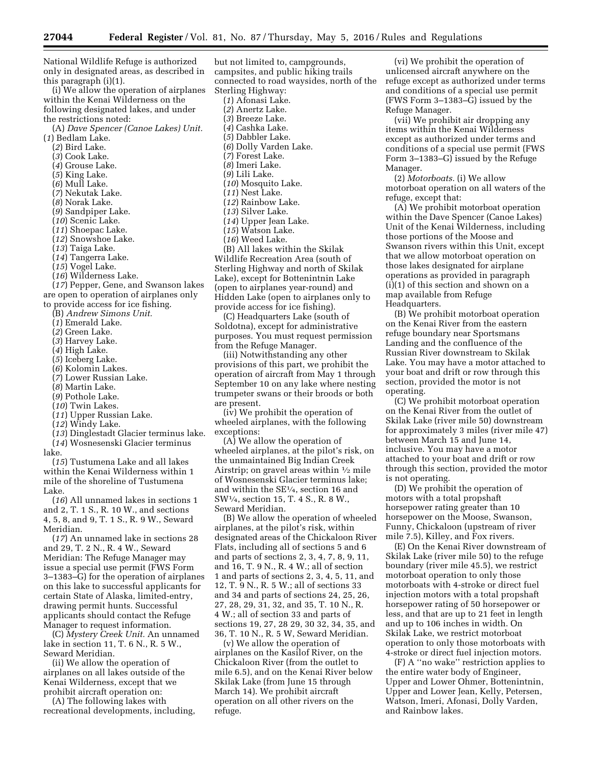National Wildlife Refuge is authorized only in designated areas, as described in this paragraph (i)(1).

(i) We allow the operation of airplanes within the Kenai Wilderness on the following designated lakes, and under the restrictions noted:

(A) *Dave Spencer (Canoe Lakes) Unit.* 

- (*1*) Bedlam Lake.
	- (*2*) Bird Lake.
	- (*3*) Cook Lake.
	- (*4*) Grouse Lake.
	- (*5*) King Lake.
	- (*6*) Mull Lake.
	-
	- (*7*) Nekutak Lake.
	- (*8*) Norak Lake.
	- (*9*) Sandpiper Lake.
	- (*10*) Scenic Lake.
	- (*11*) Shoepac Lake.
	- (*12*) Snowshoe Lake.
	- (*13*) Taiga Lake.
	- (*14*) Tangerra Lake.
	- (*15*) Vogel Lake.
	- (*16*) Wilderness Lake.

(*17*) Pepper, Gene, and Swanson lakes

are open to operation of airplanes only to provide access for ice fishing.

- (B) *Andrew Simons Unit.*
- (*1*) Emerald Lake.
- (*2*) Green Lake.
- (*3*) Harvey Lake.
- (*4*) High Lake.
- (*5*) Iceberg Lake.
- (*6*) Kolomin Lakes.
- (*7*) Lower Russian Lake.
- (*8*) Martin Lake.
- (*9*) Pothole Lake.
- (*10*) Twin Lakes.
- (*11*) Upper Russian Lake.
- (*12*) Windy Lake.

(*13*) Dinglestadt Glacier terminus lake.

(*14*) Wosnesenski Glacier terminus lake.

(*15*) Tustumena Lake and all lakes within the Kenai Wilderness within 1 mile of the shoreline of Tustumena Lake.

(*16*) All unnamed lakes in sections 1 and 2, T. 1 S., R. 10 W., and sections 4, 5, 8, and 9, T. 1 S., R. 9 W., Seward Meridian.

(*17*) An unnamed lake in sections 28 and 29, T. 2 N., R. 4 W., Seward Meridian: The Refuge Manager may issue a special use permit (FWS Form 3–1383–G) for the operation of airplanes on this lake to successful applicants for certain State of Alaska, limited-entry, drawing permit hunts. Successful applicants should contact the Refuge Manager to request information.

(C) *Mystery Creek Unit.* An unnamed lake in section 11, T. 6 N., R. 5 W., Seward Meridian.

(ii) We allow the operation of airplanes on all lakes outside of the Kenai Wilderness, except that we prohibit aircraft operation on:

(A) The following lakes with recreational developments, including,

but not limited to, campgrounds, campsites, and public hiking trails connected to road waysides, north of the Sterling Highway:

(*1*) Afonasi Lake. (*2*) Anertz Lake. (*3*) Breeze Lake. (*4*) Cashka Lake. (*5*) Dabbler Lake. (*6*) Dolly Varden Lake. (*7*) Forest Lake. (*8*) Imeri Lake. (*9*) Lili Lake. (*10*) Mosquito Lake. (*11*) Nest Lake. (*12*) Rainbow Lake. (*13*) Silver Lake. (*14*) Upper Jean Lake. (*15*) Watson Lake. (*16*) Weed Lake. (B) All lakes within the Skilak Wildlife Recreation Area (south of Sterling Highway and north of Skilak Lake), except for Bottenintnin Lake (open to airplanes year-round) and Hidden Lake (open to airplanes only to provide access for ice fishing).

(C) Headquarters Lake (south of Soldotna), except for administrative purposes. You must request permission from the Refuge Manager.

(iii) Notwithstanding any other provisions of this part, we prohibit the operation of aircraft from May 1 through September 10 on any lake where nesting trumpeter swans or their broods or both are present.

(iv) We prohibit the operation of wheeled airplanes, with the following exceptions:

(A) We allow the operation of wheeled airplanes, at the pilot's risk, on the unmaintained Big Indian Creek Airstrip; on gravel areas within 1⁄2 mile of Wosnesenski Glacier terminus lake; and within the SE1⁄4, section 16 and SW1⁄4, section 15, T. 4 S., R. 8 W., Seward Meridian.

(B) We allow the operation of wheeled airplanes, at the pilot's risk, within designated areas of the Chickaloon River Flats, including all of sections 5 and 6 and parts of sections 2, 3, 4, 7, 8, 9, 11, and 16, T. 9 N., R. 4 W.; all of section 1 and parts of sections 2, 3, 4, 5, 11, and 12, T. 9 N., R. 5 W.; all of sections 33 and 34 and parts of sections 24, 25, 26, 27, 28, 29, 31, 32, and 35, T. 10 N., R. 4 W.; all of section 33 and parts of sections 19, 27, 28 29, 30 32, 34, 35, and 36, T. 10 N., R. 5 W, Seward Meridian.

(v) We allow the operation of airplanes on the Kasilof River, on the Chickaloon River (from the outlet to mile 6.5), and on the Kenai River below Skilak Lake (from June 15 through March 14). We prohibit aircraft operation on all other rivers on the refuge.

(vi) We prohibit the operation of unlicensed aircraft anywhere on the refuge except as authorized under terms and conditions of a special use permit (FWS Form 3–1383–G) issued by the Refuge Manager.

(vii) We prohibit air dropping any items within the Kenai Wilderness except as authorized under terms and conditions of a special use permit (FWS Form 3–1383–G) issued by the Refuge Manager.

(2) *Motorboats.* (i) We allow motorboat operation on all waters of the refuge, except that:

(A) We prohibit motorboat operation within the Dave Spencer (Canoe Lakes) Unit of the Kenai Wilderness, including those portions of the Moose and Swanson rivers within this Unit, except that we allow motorboat operation on those lakes designated for airplane operations as provided in paragraph (i)(1) of this section and shown on a map available from Refuge Headquarters.

(B) We prohibit motorboat operation on the Kenai River from the eastern refuge boundary near Sportsmans Landing and the confluence of the Russian River downstream to Skilak Lake. You may have a motor attached to your boat and drift or row through this section, provided the motor is not operating.

(C) We prohibit motorboat operation on the Kenai River from the outlet of Skilak Lake (river mile 50) downstream for approximately 3 miles (river mile 47) between March 15 and June 14, inclusive. You may have a motor attached to your boat and drift or row through this section, provided the motor is not operating.

(D) We prohibit the operation of motors with a total propshaft horsepower rating greater than 10 horsepower on the Moose, Swanson, Funny, Chickaloon (upstream of river mile 7.5), Killey, and Fox rivers.

(E) On the Kenai River downstream of Skilak Lake (river mile 50) to the refuge boundary (river mile 45.5), we restrict motorboat operation to only those motorboats with 4-stroke or direct fuel injection motors with a total propshaft horsepower rating of 50 horsepower or less, and that are up to 21 feet in length and up to 106 inches in width. On Skilak Lake, we restrict motorboat operation to only those motorboats with 4-stroke or direct fuel injection motors.

(F) A ''no wake'' restriction applies to the entire water body of Engineer, Upper and Lower Ohmer, Bottenintnin, Upper and Lower Jean, Kelly, Petersen, Watson, Imeri, Afonasi, Dolly Varden, and Rainbow lakes.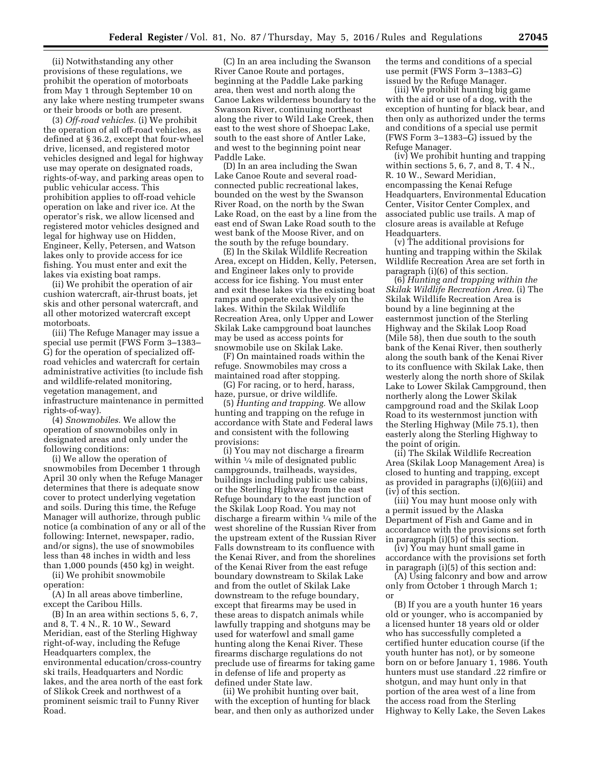(ii) Notwithstanding any other provisions of these regulations, we prohibit the operation of motorboats from May 1 through September 10 on any lake where nesting trumpeter swans or their broods or both are present.

(3) *Off-road vehicles.* (i) We prohibit the operation of all off-road vehicles, as defined at § 36.2, except that four-wheel drive, licensed, and registered motor vehicles designed and legal for highway use may operate on designated roads, rights-of-way, and parking areas open to public vehicular access. This prohibition applies to off-road vehicle operation on lake and river ice. At the operator's risk, we allow licensed and registered motor vehicles designed and legal for highway use on Hidden, Engineer, Kelly, Petersen, and Watson lakes only to provide access for ice fishing. You must enter and exit the lakes via existing boat ramps.

(ii) We prohibit the operation of air cushion watercraft, air-thrust boats, jet skis and other personal watercraft, and all other motorized watercraft except motorboats.

(iii) The Refuge Manager may issue a special use permit (FWS Form 3–1383– G) for the operation of specialized offroad vehicles and watercraft for certain administrative activities (to include fish and wildlife-related monitoring, vegetation management, and infrastructure maintenance in permitted rights-of-way).

(4) *Snowmobiles.* We allow the operation of snowmobiles only in designated areas and only under the following conditions:

(i) We allow the operation of snowmobiles from December 1 through April 30 only when the Refuge Manager determines that there is adequate snow cover to protect underlying vegetation and soils. During this time, the Refuge Manager will authorize, through public notice (a combination of any or all of the following: Internet, newspaper, radio, and/or signs), the use of snowmobiles less than 48 inches in width and less than 1,000 pounds (450 kg) in weight.

(ii) We prohibit snowmobile operation:

(A) In all areas above timberline, except the Caribou Hills.

(B) In an area within sections 5, 6, 7, and 8, T. 4 N., R. 10 W., Seward Meridian, east of the Sterling Highway right-of-way, including the Refuge Headquarters complex, the environmental education/cross-country ski trails, Headquarters and Nordic lakes, and the area north of the east fork of Slikok Creek and northwest of a prominent seismic trail to Funny River Road.

(C) In an area including the Swanson River Canoe Route and portages, beginning at the Paddle Lake parking area, then west and north along the Canoe Lakes wilderness boundary to the Swanson River, continuing northeast along the river to Wild Lake Creek, then east to the west shore of Shoepac Lake, south to the east shore of Antler Lake, and west to the beginning point near Paddle Lake.

(D) In an area including the Swan Lake Canoe Route and several roadconnected public recreational lakes, bounded on the west by the Swanson River Road, on the north by the Swan Lake Road, on the east by a line from the east end of Swan Lake Road south to the west bank of the Moose River, and on the south by the refuge boundary.

(E) In the Skilak Wildlife Recreation Area, except on Hidden, Kelly, Petersen, and Engineer lakes only to provide access for ice fishing. You must enter and exit these lakes via the existing boat ramps and operate exclusively on the lakes. Within the Skilak Wildlife Recreation Area, only Upper and Lower Skilak Lake campground boat launches may be used as access points for snowmobile use on Skilak Lake.

(F) On maintained roads within the refuge. Snowmobiles may cross a maintained road after stopping.

(G) For racing, or to herd, harass, haze, pursue, or drive wildlife.

(5) *Hunting and trapping.* We allow hunting and trapping on the refuge in accordance with State and Federal laws and consistent with the following provisions:

(i) You may not discharge a firearm within  $\frac{1}{4}$  mile of designated public campgrounds, trailheads, waysides, buildings including public use cabins, or the Sterling Highway from the east Refuge boundary to the east junction of the Skilak Loop Road. You may not discharge a firearm within 1⁄4 mile of the west shoreline of the Russian River from the upstream extent of the Russian River Falls downstream to its confluence with the Kenai River, and from the shorelines of the Kenai River from the east refuge boundary downstream to Skilak Lake and from the outlet of Skilak Lake downstream to the refuge boundary, except that firearms may be used in these areas to dispatch animals while lawfully trapping and shotguns may be used for waterfowl and small game hunting along the Kenai River. These firearms discharge regulations do not preclude use of firearms for taking game in defense of life and property as defined under State law.

(ii) We prohibit hunting over bait, with the exception of hunting for black bear, and then only as authorized under the terms and conditions of a special use permit (FWS Form 3–1383–G) issued by the Refuge Manager.

(iii) We prohibit hunting big game with the aid or use of a dog, with the exception of hunting for black bear, and then only as authorized under the terms and conditions of a special use permit (FWS Form 3–1383–G) issued by the Refuge Manager.

(iv) We prohibit hunting and trapping within sections 5, 6, 7, and 8, T. 4 N., R. 10 W., Seward Meridian, encompassing the Kenai Refuge Headquarters, Environmental Education Center, Visitor Center Complex, and associated public use trails. A map of closure areas is available at Refuge Headquarters.

(v) The additional provisions for hunting and trapping within the Skilak Wildlife Recreation Area are set forth in paragraph (i)(6) of this section.

(6) *Hunting and trapping within the Skilak Wildlife Recreation Area.* (i) The Skilak Wildlife Recreation Area is bound by a line beginning at the easternmost junction of the Sterling Highway and the Skilak Loop Road (Mile 58), then due south to the south bank of the Kenai River, then southerly along the south bank of the Kenai River to its confluence with Skilak Lake, then westerly along the north shore of Skilak Lake to Lower Skilak Campground, then northerly along the Lower Skilak campground road and the Skilak Loop Road to its westernmost junction with the Sterling Highway (Mile 75.1), then easterly along the Sterling Highway to the point of origin.

(ii) The Skilak Wildlife Recreation Area (Skilak Loop Management Area) is closed to hunting and trapping, except as provided in paragraphs (i)(6)(iii) and (iv) of this section.

(iii) You may hunt moose only with a permit issued by the Alaska Department of Fish and Game and in accordance with the provisions set forth in paragraph (i)(5) of this section.

(iv) You may hunt small game in accordance with the provisions set forth in paragraph (i)(5) of this section and:

(A) Using falconry and bow and arrow only from October 1 through March 1; or

(B) If you are a youth hunter 16 years old or younger, who is accompanied by a licensed hunter 18 years old or older who has successfully completed a certified hunter education course (if the youth hunter has not), or by someone born on or before January 1, 1986. Youth hunters must use standard .22 rimfire or shotgun, and may hunt only in that portion of the area west of a line from the access road from the Sterling Highway to Kelly Lake, the Seven Lakes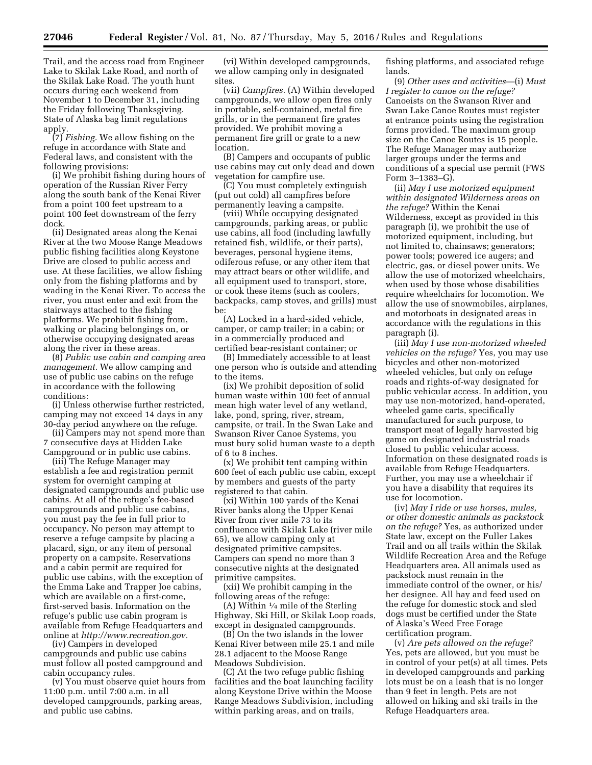Trail, and the access road from Engineer Lake to Skilak Lake Road, and north of the Skilak Lake Road. The youth hunt occurs during each weekend from November 1 to December 31, including the Friday following Thanksgiving. State of Alaska bag limit regulations apply.

(7) *Fishing.* We allow fishing on the refuge in accordance with State and Federal laws, and consistent with the following provisions:

(i) We prohibit fishing during hours of operation of the Russian River Ferry along the south bank of the Kenai River from a point 100 feet upstream to a point 100 feet downstream of the ferry dock.

(ii) Designated areas along the Kenai River at the two Moose Range Meadows public fishing facilities along Keystone Drive are closed to public access and use. At these facilities, we allow fishing only from the fishing platforms and by wading in the Kenai River. To access the river, you must enter and exit from the stairways attached to the fishing platforms. We prohibit fishing from, walking or placing belongings on, or otherwise occupying designated areas along the river in these areas.

(8) *Public use cabin and camping area management.* We allow camping and use of public use cabins on the refuge in accordance with the following conditions:

(i) Unless otherwise further restricted, camping may not exceed 14 days in any 30-day period anywhere on the refuge.

(ii) Campers may not spend more than 7 consecutive days at Hidden Lake Campground or in public use cabins.

(iii) The Refuge Manager may establish a fee and registration permit system for overnight camping at designated campgrounds and public use cabins. At all of the refuge's fee-based campgrounds and public use cabins, you must pay the fee in full prior to occupancy. No person may attempt to reserve a refuge campsite by placing a placard, sign, or any item of personal property on a campsite. Reservations and a cabin permit are required for public use cabins, with the exception of the Emma Lake and Trapper Joe cabins, which are available on a first-come, first-served basis. Information on the refuge's public use cabin program is available from Refuge Headquarters and online at *[http://www.recreation.gov.](http://www.recreation.gov)* 

(iv) Campers in developed campgrounds and public use cabins must follow all posted campground and cabin occupancy rules.

(v) You must observe quiet hours from 11:00 p.m. until 7:00 a.m. in all developed campgrounds, parking areas, and public use cabins.

(vi) Within developed campgrounds, we allow camping only in designated sites.

(vii) *Campfires.* (A) Within developed campgrounds, we allow open fires only in portable, self-contained, metal fire grills, or in the permanent fire grates provided. We prohibit moving a permanent fire grill or grate to a new location.

(B) Campers and occupants of public use cabins may cut only dead and down vegetation for campfire use.

(C) You must completely extinguish (put out cold) all campfires before permanently leaving a campsite.

(viii) While occupying designated campgrounds, parking areas, or public use cabins, all food (including lawfully retained fish, wildlife, or their parts), beverages, personal hygiene items, odiferous refuse, or any other item that may attract bears or other wildlife, and all equipment used to transport, store, or cook these items (such as coolers, backpacks, camp stoves, and grills) must be:

(A) Locked in a hard-sided vehicle, camper, or camp trailer; in a cabin; or in a commercially produced and certified bear-resistant container; or

(B) Immediately accessible to at least one person who is outside and attending to the items.

(ix) We prohibit deposition of solid human waste within 100 feet of annual mean high water level of any wetland, lake, pond, spring, river, stream, campsite, or trail. In the Swan Lake and Swanson River Canoe Systems, you must bury solid human waste to a depth of 6 to 8 inches.

(x) We prohibit tent camping within 600 feet of each public use cabin, except by members and guests of the party registered to that cabin.

(xi) Within 100 yards of the Kenai River banks along the Upper Kenai River from river mile 73 to its confluence with Skilak Lake (river mile 65), we allow camping only at designated primitive campsites. Campers can spend no more than 3 consecutive nights at the designated primitive campsites.

(xii) We prohibit camping in the following areas of the refuge:

(A) Within  $\frac{1}{4}$  mile of the Sterling Highway, Ski Hill, or Skilak Loop roads, except in designated campgrounds.

(B) On the two islands in the lower Kenai River between mile 25.1 and mile 28.1 adjacent to the Moose Range Meadows Subdivision.

(C) At the two refuge public fishing facilities and the boat launching facility along Keystone Drive within the Moose Range Meadows Subdivision, including within parking areas, and on trails,

fishing platforms, and associated refuge lands.

(9) *Other uses and activities*—(i) *Must I register to canoe on the refuge?*  Canoeists on the Swanson River and Swan Lake Canoe Routes must register at entrance points using the registration forms provided. The maximum group size on the Canoe Routes is 15 people. The Refuge Manager may authorize larger groups under the terms and conditions of a special use permit (FWS Form 3–1383–G).

(ii) *May I use motorized equipment within designated Wilderness areas on the refuge?* Within the Kenai Wilderness, except as provided in this paragraph (i), we prohibit the use of motorized equipment, including, but not limited to, chainsaws; generators; power tools; powered ice augers; and electric, gas, or diesel power units. We allow the use of motorized wheelchairs, when used by those whose disabilities require wheelchairs for locomotion. We allow the use of snowmobiles, airplanes, and motorboats in designated areas in accordance with the regulations in this paragraph (i).

(iii) *May I use non-motorized wheeled vehicles on the refuge?* Yes, you may use bicycles and other non-motorized wheeled vehicles, but only on refuge roads and rights-of-way designated for public vehicular access. In addition, you may use non-motorized, hand-operated, wheeled game carts, specifically manufactured for such purpose, to transport meat of legally harvested big game on designated industrial roads closed to public vehicular access. Information on these designated roads is available from Refuge Headquarters. Further, you may use a wheelchair if you have a disability that requires its use for locomotion.

(iv) *May I ride or use horses, mules, or other domestic animals as packstock on the refuge?* Yes, as authorized under State law, except on the Fuller Lakes Trail and on all trails within the Skilak Wildlife Recreation Area and the Refuge Headquarters area. All animals used as packstock must remain in the immediate control of the owner, or his/ her designee. All hay and feed used on the refuge for domestic stock and sled dogs must be certified under the State of Alaska's Weed Free Forage certification program.

(v) *Are pets allowed on the refuge?*  Yes, pets are allowed, but you must be in control of your pet(s) at all times. Pets in developed campgrounds and parking lots must be on a leash that is no longer than 9 feet in length. Pets are not allowed on hiking and ski trails in the Refuge Headquarters area.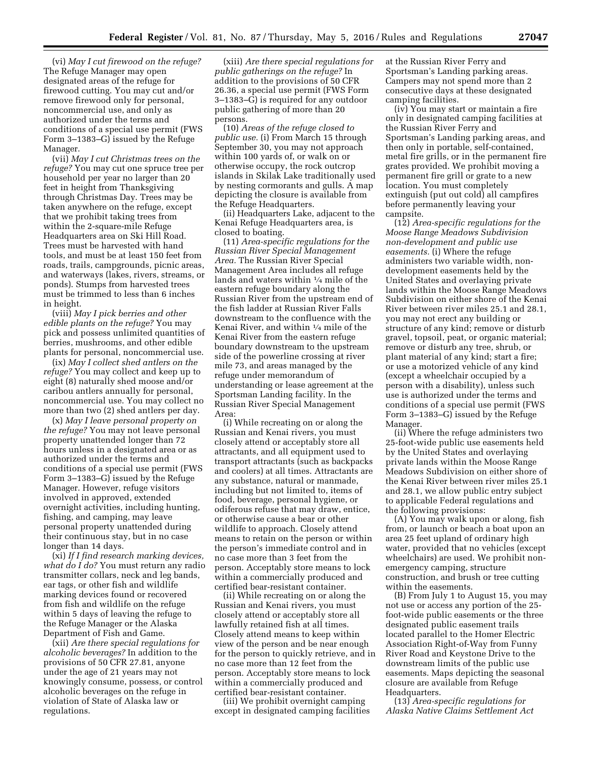(vi) *May I cut firewood on the refuge?*  The Refuge Manager may open designated areas of the refuge for firewood cutting. You may cut and/or remove firewood only for personal, noncommercial use, and only as authorized under the terms and conditions of a special use permit (FWS Form 3–1383–G) issued by the Refuge Manager.

(vii) *May I cut Christmas trees on the refuge?* You may cut one spruce tree per household per year no larger than 20 feet in height from Thanksgiving through Christmas Day. Trees may be taken anywhere on the refuge, except that we prohibit taking trees from within the 2-square-mile Refuge Headquarters area on Ski Hill Road. Trees must be harvested with hand tools, and must be at least 150 feet from roads, trails, campgrounds, picnic areas, and waterways (lakes, rivers, streams, or ponds). Stumps from harvested trees must be trimmed to less than 6 inches in height.

(viii) *May I pick berries and other edible plants on the refuge?* You may pick and possess unlimited quantities of berries, mushrooms, and other edible plants for personal, noncommercial use.

(ix) *May I collect shed antlers on the refuge?* You may collect and keep up to eight (8) naturally shed moose and/or caribou antlers annually for personal, noncommercial use. You may collect no more than two (2) shed antlers per day.

(x) *May I leave personal property on the refuge?* You may not leave personal property unattended longer than 72 hours unless in a designated area or as authorized under the terms and conditions of a special use permit (FWS Form 3–1383–G) issued by the Refuge Manager. However, refuge visitors involved in approved, extended overnight activities, including hunting, fishing, and camping, may leave personal property unattended during their continuous stay, but in no case longer than 14 days.

(xi) *If I find research marking devices, what do I do?* You must return any radio transmitter collars, neck and leg bands, ear tags, or other fish and wildlife marking devices found or recovered from fish and wildlife on the refuge within 5 days of leaving the refuge to the Refuge Manager or the Alaska Department of Fish and Game.

(xii) *Are there special regulations for alcoholic beverages?* In addition to the provisions of 50 CFR 27.81, anyone under the age of 21 years may not knowingly consume, possess, or control alcoholic beverages on the refuge in violation of State of Alaska law or regulations.

(xiii) *Are there special regulations for public gatherings on the refuge?* In addition to the provisions of 50 CFR 26.36, a special use permit (FWS Form 3–1383–G) is required for any outdoor public gathering of more than 20 persons.

(10) *Areas of the refuge closed to public use.* (i) From March 15 through September 30, you may not approach within 100 yards of, or walk on or otherwise occupy, the rock outcrop islands in Skilak Lake traditionally used by nesting cormorants and gulls. A map depicting the closure is available from the Refuge Headquarters.

(ii) Headquarters Lake, adjacent to the Kenai Refuge Headquarters area, is closed to boating.

(11) *Area-specific regulations for the Russian River Special Management Area.* The Russian River Special Management Area includes all refuge lands and waters within 1⁄4 mile of the eastern refuge boundary along the Russian River from the upstream end of the fish ladder at Russian River Falls downstream to the confluence with the Kenai River, and within 1⁄4 mile of the Kenai River from the eastern refuge boundary downstream to the upstream side of the powerline crossing at river mile 73, and areas managed by the refuge under memorandum of understanding or lease agreement at the Sportsman Landing facility. In the Russian River Special Management Area:

(i) While recreating on or along the Russian and Kenai rivers, you must closely attend or acceptably store all attractants, and all equipment used to transport attractants (such as backpacks and coolers) at all times. Attractants are any substance, natural or manmade, including but not limited to, items of food, beverage, personal hygiene, or odiferous refuse that may draw, entice, or otherwise cause a bear or other wildlife to approach. Closely attend means to retain on the person or within the person's immediate control and in no case more than 3 feet from the person. Acceptably store means to lock within a commercially produced and certified bear-resistant container.

(ii) While recreating on or along the Russian and Kenai rivers, you must closely attend or acceptably store all lawfully retained fish at all times. Closely attend means to keep within view of the person and be near enough for the person to quickly retrieve, and in no case more than 12 feet from the person. Acceptably store means to lock within a commercially produced and certified bear-resistant container.

(iii) We prohibit overnight camping except in designated camping facilities at the Russian River Ferry and Sportsman's Landing parking areas. Campers may not spend more than 2 consecutive days at these designated camping facilities.

(iv) You may start or maintain a fire only in designated camping facilities at the Russian River Ferry and Sportsman's Landing parking areas, and then only in portable, self-contained, metal fire grills, or in the permanent fire grates provided. We prohibit moving a permanent fire grill or grate to a new location. You must completely extinguish (put out cold) all campfires before permanently leaving your campsite.

(12) *Area-specific regulations for the Moose Range Meadows Subdivision non-development and public use easements.* (i) Where the refuge administers two variable width, nondevelopment easements held by the United States and overlaying private lands within the Moose Range Meadows Subdivision on either shore of the Kenai River between river miles 25.1 and 28.1, you may not erect any building or structure of any kind; remove or disturb gravel, topsoil, peat, or organic material; remove or disturb any tree, shrub, or plant material of any kind; start a fire; or use a motorized vehicle of any kind (except a wheelchair occupied by a person with a disability), unless such use is authorized under the terms and conditions of a special use permit (FWS Form 3–1383–G) issued by the Refuge Manager.

(ii) Where the refuge administers two 25-foot-wide public use easements held by the United States and overlaying private lands within the Moose Range Meadows Subdivision on either shore of the Kenai River between river miles 25.1 and 28.1, we allow public entry subject to applicable Federal regulations and the following provisions:

(A) You may walk upon or along, fish from, or launch or beach a boat upon an area 25 feet upland of ordinary high water, provided that no vehicles (except wheelchairs) are used. We prohibit nonemergency camping, structure construction, and brush or tree cutting within the easements.

(B) From July 1 to August 15, you may not use or access any portion of the 25 foot-wide public easements or the three designated public easement trails located parallel to the Homer Electric Association Right-of-Way from Funny River Road and Keystone Drive to the downstream limits of the public use easements. Maps depicting the seasonal closure are available from Refuge Headquarters.

(13) *Area-specific regulations for Alaska Native Claims Settlement Act*